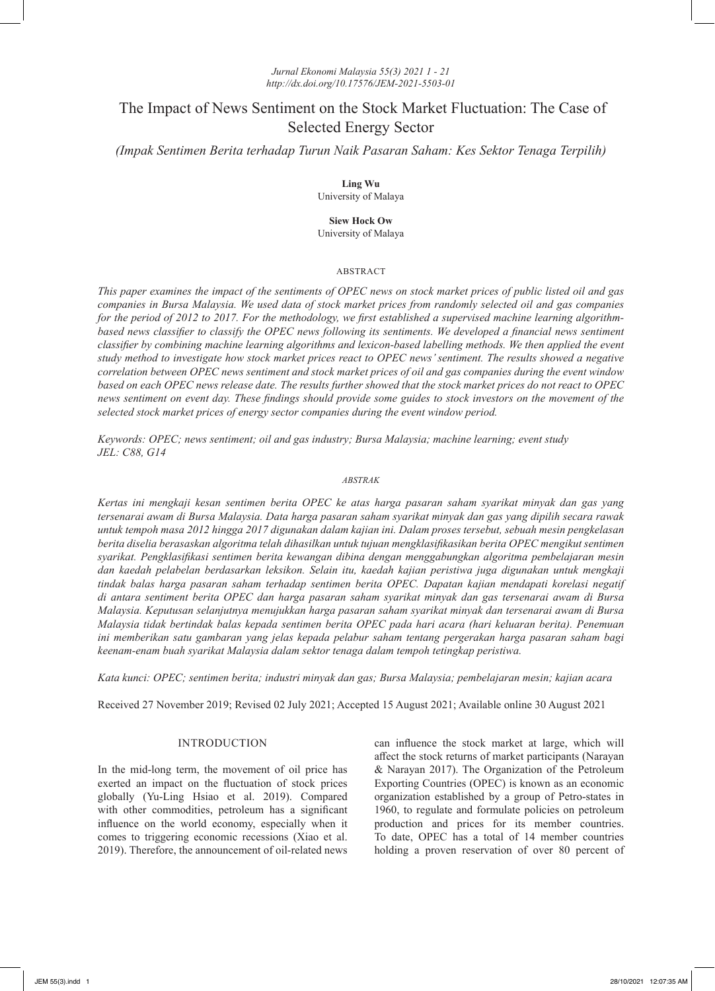# *Jurnal Ekonomi Malaysia 55(3) 2021 1 - 21 http://dx.doi.org/10.17576/JEM-2021-5503-01*

# The Impact of News Sentiment on the Stock Market Fluctuation: The Case of Selected Energy Sector

*(Impak Sentimen Berita terhadap Turun Naik Pasaran Saham: Kes Sektor Tenaga Terpilih)*

**Ling Wu** University of Malaya

**Siew Hock Ow** University of Malaya

# ABSTRACT

*This paper examines the impact of the sentiments of OPEC news on stock market prices of public listed oil and gas companies in Bursa Malaysia. We used data of stock market prices from randomly selected oil and gas companies for the period of 2012 to 2017. For the methodology, we first established a supervised machine learning algorithmbased news classifier to classify the OPEC news following its sentiments. We developed a financial news sentiment classifier by combining machine learning algorithms and lexicon-based labelling methods. We then applied the event study method to investigate how stock market prices react to OPEC news' sentiment. The results showed a negative correlation between OPEC news sentiment and stock market prices of oil and gas companies during the event window based on each OPEC news release date. The results further showed that the stock market prices do not react to OPEC news sentiment on event day. These findings should provide some guides to stock investors on the movement of the selected stock market prices of energy sector companies during the event window period.* 

*Keywords: OPEC; news sentiment; oil and gas industry; Bursa Malaysia; machine learning; event study JEL: C88, G14*

# *ABSTRAK*

*Kertas ini mengkaji kesan sentimen berita OPEC ke atas harga pasaran saham syarikat minyak dan gas yang tersenarai awam di Bursa Malaysia. Data harga pasaran saham syarikat minyak dan gas yang dipilih secara rawak untuk tempoh masa 2012 hingga 2017 digunakan dalam kajian ini. Dalam proses tersebut, sebuah mesin pengkelasan berita diselia berasaskan algoritma telah dihasilkan untuk tujuan mengklasifikasikan berita OPEC mengikut sentimen syarikat. Pengklasifikasi sentimen berita kewangan dibina dengan menggabungkan algoritma pembelajaran mesin dan kaedah pelabelan berdasarkan leksikon. Selain itu, kaedah kajian peristiwa juga digunakan untuk mengkaji tindak balas harga pasaran saham terhadap sentimen berita OPEC. Dapatan kajian mendapati korelasi negatif di antara sentiment berita OPEC dan harga pasaran saham syarikat minyak dan gas tersenarai awam di Bursa Malaysia. Keputusan selanjutnya menujukkan harga pasaran saham syarikat minyak dan tersenarai awam di Bursa Malaysia tidak bertindak balas kepada sentimen berita OPEC pada hari acara (hari keluaran berita). Penemuan ini memberikan satu gambaran yang jelas kepada pelabur saham tentang pergerakan harga pasaran saham bagi keenam-enam buah syarikat Malaysia dalam sektor tenaga dalam tempoh tetingkap peristiwa.* 

*Kata kunci: OPEC; sentimen berita; industri minyak dan gas; Bursa Malaysia; pembelajaran mesin; kajian acara*

Received 27 November 2019; Revised 02 July 2021; Accepted 15 August 2021; Available online 30 August 2021

# INTRODUCTION

In the mid-long term, the movement of oil price has exerted an impact on the fluctuation of stock prices globally (Yu-Ling Hsiao et al. 2019). Compared with other commodities, petroleum has a significant influence on the world economy, especially when it comes to triggering economic recessions (Xiao et al. 2019). Therefore, the announcement of oil-related news

can influence the stock market at large, which will affect the stock returns of market participants (Narayan & Narayan 2017). The Organization of the Petroleum Exporting Countries (OPEC) is known as an economic organization established by a group of Petro-states in 1960, to regulate and formulate policies on petroleum production and prices for its member countries. To date, OPEC has a total of 14 member countries holding a proven reservation of over 80 percent of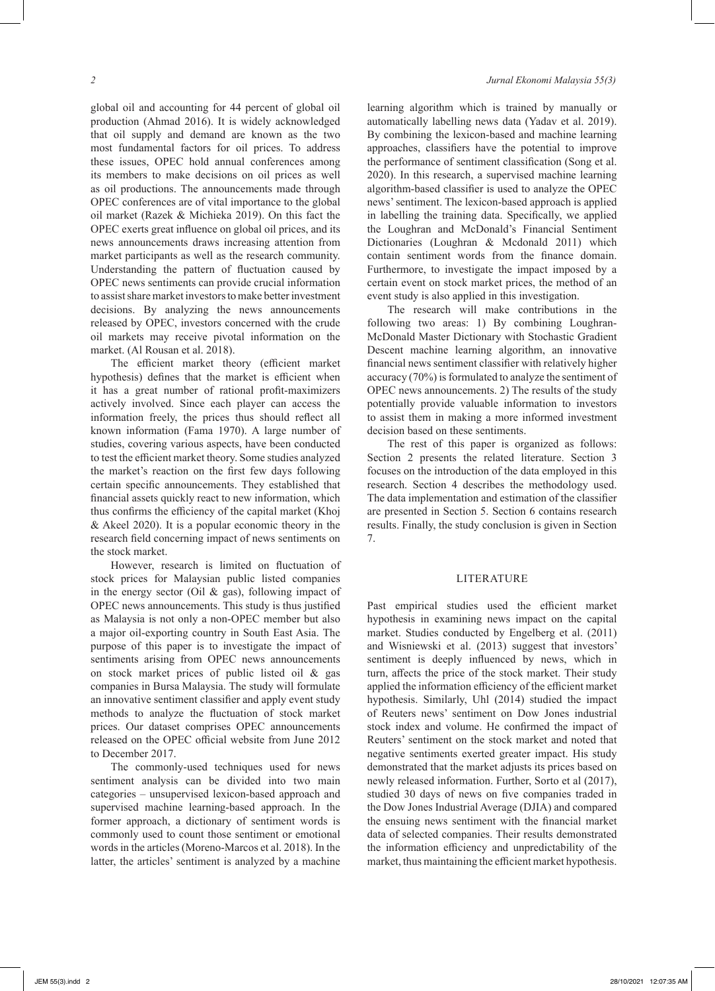global oil and accounting for 44 percent of global oil production (Ahmad 2016). It is widely acknowledged that oil supply and demand are known as the two most fundamental factors for oil prices. To address these issues, OPEC hold annual conferences among its members to make decisions on oil prices as well as oil productions. The announcements made through OPEC conferences are of vital importance to the global oil market (Razek & Michieka 2019). On this fact the OPEC exerts great influence on global oil prices, and its news announcements draws increasing attention from market participants as well as the research community. Understanding the pattern of fluctuation caused by OPEC news sentiments can provide crucial information to assist share market investors to make better investment decisions. By analyzing the news announcements released by OPEC, investors concerned with the crude oil markets may receive pivotal information on the market. (Al Rousan et al. 2018).

The efficient market theory (efficient market hypothesis) defines that the market is efficient when it has a great number of rational profit-maximizers actively involved. Since each player can access the information freely, the prices thus should reflect all known information (Fama 1970). A large number of studies, covering various aspects, have been conducted to test the efficient market theory. Some studies analyzed the market's reaction on the first few days following certain specific announcements. They established that financial assets quickly react to new information, which thus confirms the efficiency of the capital market (Khoj & Akeel 2020). It is a popular economic theory in the research field concerning impact of news sentiments on the stock market.

However, research is limited on fluctuation of stock prices for Malaysian public listed companies in the energy sector (Oil & gas), following impact of OPEC news announcements. This study is thus justified as Malaysia is not only a non-OPEC member but also a major oil-exporting country in South East Asia. The purpose of this paper is to investigate the impact of sentiments arising from OPEC news announcements on stock market prices of public listed oil & gas companies in Bursa Malaysia. The study will formulate an innovative sentiment classifier and apply event study methods to analyze the fluctuation of stock market prices. Our dataset comprises OPEC announcements released on the OPEC official website from June 2012 to December 2017.

The commonly-used techniques used for news sentiment analysis can be divided into two main categories – unsupervised lexicon-based approach and supervised machine learning-based approach. In the former approach, a dictionary of sentiment words is commonly used to count those sentiment or emotional words in the articles (Moreno-Marcos et al. 2018). In the latter, the articles' sentiment is analyzed by a machine

learning algorithm which is trained by manually or automatically labelling news data (Yadav et al. 2019). By combining the lexicon-based and machine learning approaches, classifiers have the potential to improve the performance of sentiment classification (Song et al. 2020). In this research, a supervised machine learning algorithm-based classifier is used to analyze the OPEC news' sentiment. The lexicon-based approach is applied in labelling the training data. Specifically, we applied the Loughran and McDonald's Financial Sentiment Dictionaries (Loughran & Mcdonald 2011) which contain sentiment words from the finance domain. Furthermore, to investigate the impact imposed by a certain event on stock market prices, the method of an event study is also applied in this investigation.

The research will make contributions in the following two areas: 1) By combining Loughran-McDonald Master Dictionary with Stochastic Gradient Descent machine learning algorithm, an innovative financial news sentiment classifier with relatively higher accuracy (70%) is formulated to analyze the sentiment of OPEC news announcements. 2) The results of the study potentially provide valuable information to investors to assist them in making a more informed investment decision based on these sentiments.

The rest of this paper is organized as follows: Section 2 presents the related literature. Section 3 focuses on the introduction of the data employed in this research. Section 4 describes the methodology used. The data implementation and estimation of the classifier are presented in Section 5. Section 6 contains research results. Finally, the study conclusion is given in Section 7.

# LITERATURE

Past empirical studies used the efficient market hypothesis in examining news impact on the capital market. Studies conducted by Engelberg et al. (2011) and Wisniewski et al. (2013) suggest that investors' sentiment is deeply influenced by news, which in turn, affects the price of the stock market. Their study applied the information efficiency of the efficient market hypothesis. Similarly, Uhl (2014) studied the impact of Reuters news' sentiment on Dow Jones industrial stock index and volume. He confirmed the impact of Reuters' sentiment on the stock market and noted that negative sentiments exerted greater impact. His study demonstrated that the market adjusts its prices based on newly released information. Further, Sorto et al (2017), studied 30 days of news on five companies traded in the Dow Jones Industrial Average (DJIA) and compared the ensuing news sentiment with the financial market data of selected companies. Their results demonstrated the information efficiency and unpredictability of the market, thus maintaining the efficient market hypothesis.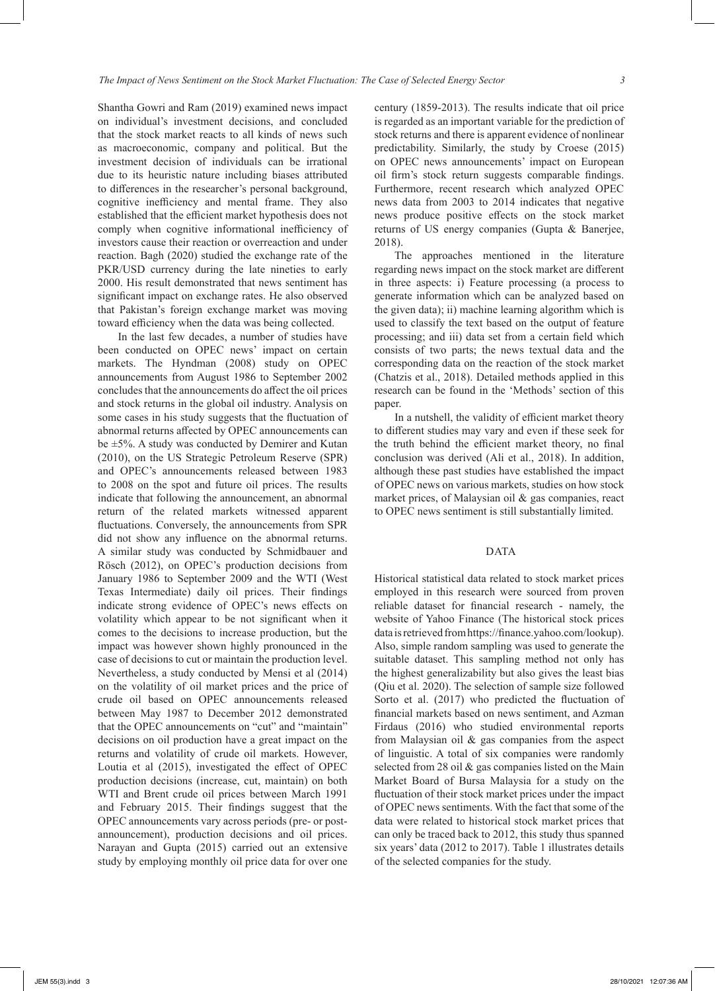Shantha Gowri and Ram (2019) examined news impact on individual's investment decisions, and concluded that the stock market reacts to all kinds of news such as macroeconomic, company and political. But the investment decision of individuals can be irrational due to its heuristic nature including biases attributed to differences in the researcher's personal background, cognitive inefficiency and mental frame. They also established that the efficient market hypothesis does not comply when cognitive informational inefficiency of investors cause their reaction or overreaction and under reaction. Bagh (2020) studied the exchange rate of the PKR/USD currency during the late nineties to early 2000. His result demonstrated that news sentiment has significant impact on exchange rates. He also observed that Pakistan's foreign exchange market was moving toward efficiency when the data was being collected.

In the last few decades, a number of studies have been conducted on OPEC news' impact on certain markets. The Hyndman (2008) study on OPEC announcements from August 1986 to September 2002 concludes that the announcements do affect the oil prices and stock returns in the global oil industry. Analysis on some cases in his study suggests that the fluctuation of abnormal returns affected by OPEC announcements can be ±5%. A study was conducted by Demirer and Kutan (2010), on the US Strategic Petroleum Reserve (SPR) and OPEC's announcements released between 1983 to 2008 on the spot and future oil prices. The results indicate that following the announcement, an abnormal return of the related markets witnessed apparent fluctuations. Conversely, the announcements from SPR did not show any influence on the abnormal returns. A similar study was conducted by Schmidbauer and Rösch (2012), on OPEC's production decisions from January 1986 to September 2009 and the WTI (West Texas Intermediate) daily oil prices. Their findings indicate strong evidence of OPEC's news effects on volatility which appear to be not significant when it comes to the decisions to increase production, but the impact was however shown highly pronounced in the case of decisions to cut or maintain the production level. Nevertheless, a study conducted by Mensi et al (2014) on the volatility of oil market prices and the price of crude oil based on OPEC announcements released between May 1987 to December 2012 demonstrated that the OPEC announcements on "cut" and "maintain" decisions on oil production have a great impact on the returns and volatility of crude oil markets. However, Loutia et al (2015), investigated the effect of OPEC production decisions (increase, cut, maintain) on both WTI and Brent crude oil prices between March 1991 and February 2015. Their findings suggest that the OPEC announcements vary across periods (pre- or postannouncement), production decisions and oil prices. Narayan and Gupta (2015) carried out an extensive study by employing monthly oil price data for over one

century (1859-2013). The results indicate that oil price is regarded as an important variable for the prediction of stock returns and there is apparent evidence of nonlinear predictability. Similarly, the study by Croese (2015) on OPEC news announcements' impact on European oil firm's stock return suggests comparable findings. Furthermore, recent research which analyzed OPEC news data from 2003 to 2014 indicates that negative news produce positive effects on the stock market returns of US energy companies (Gupta & Banerjee, 2018).

The approaches mentioned in the literature regarding news impact on the stock market are different in three aspects: i) Feature processing (a process to generate information which can be analyzed based on the given data); ii) machine learning algorithm which is used to classify the text based on the output of feature processing; and iii) data set from a certain field which consists of two parts; the news textual data and the corresponding data on the reaction of the stock market (Chatzis et al., 2018). Detailed methods applied in this research can be found in the 'Methods' section of this paper.

In a nutshell, the validity of efficient market theory to different studies may vary and even if these seek for the truth behind the efficient market theory, no final conclusion was derived (Ali et al., 2018). In addition, although these past studies have established the impact of OPEC news on various markets, studies on how stock market prices, of Malaysian oil & gas companies, react to OPEC news sentiment is still substantially limited.

# DATA

Historical statistical data related to stock market prices employed in this research were sourced from proven reliable dataset for financial research - namely, the website of Yahoo Finance (The historical stock prices data is retrieved from https://finance.yahoo.com/lookup). Also, simple random sampling was used to generate the suitable dataset. This sampling method not only has the highest generalizability but also gives the least bias (Qiu et al. 2020). The selection of sample size followed Sorto et al. (2017) who predicted the fluctuation of financial markets based on news sentiment, and Azman Firdaus (2016) who studied environmental reports from Malaysian oil & gas companies from the aspect of linguistic. A total of six companies were randomly selected from 28 oil & gas companies listed on the Main Market Board of Bursa Malaysia for a study on the fluctuation of their stock market prices under the impact of OPEC news sentiments. With the fact that some of the data were related to historical stock market prices that can only be traced back to 2012, this study thus spanned six years' data (2012 to 2017). Table 1 illustrates details of the selected companies for the study.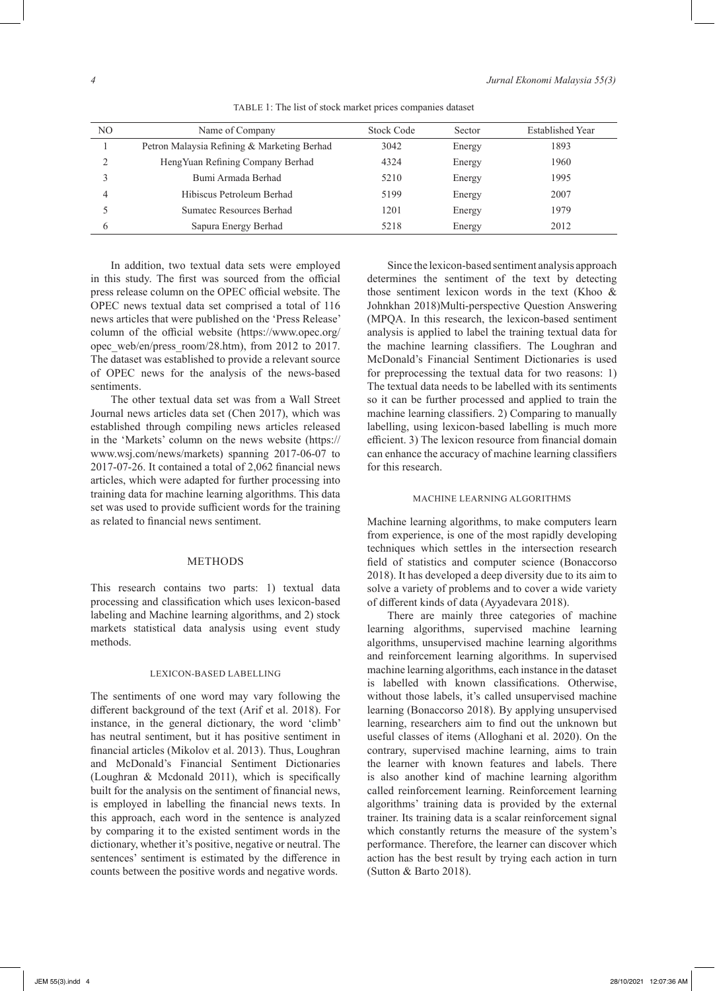| NО | Name of Company                             | Stock Code | Sector | Established Year |
|----|---------------------------------------------|------------|--------|------------------|
|    | Petron Malaysia Refining & Marketing Berhad | 3042       | Energy | 1893             |
|    | Heng Yuan Refining Company Berhad           | 4324       | Energy | 1960             |
|    | Bumi Armada Berhad                          | 5210       | Energy | 1995             |
|    | Hibiscus Petroleum Berhad                   | 5199       | Energy | 2007             |
|    | Sumatec Resources Berhad                    | 1201       | Energy | 1979             |
|    | Sapura Energy Berhad                        | 5218       | Energy | 2012             |
|    |                                             |            |        |                  |

TABLE 1: The list of stock market prices companies dataset

In addition, two textual data sets were employed in this study. The first was sourced from the official press release column on the OPEC official website. The OPEC news textual data set comprised a total of 116 news articles that were published on the 'Press Release' column of the official website (https://www.opec.org/ opec\_web/en/press\_room/28.htm), from 2012 to 2017. The dataset was established to provide a relevant source of OPEC news for the analysis of the news-based sentiments.

The other textual data set was from a Wall Street Journal news articles data set (Chen 2017), which was established through compiling news articles released in the 'Markets' column on the news website (https:// www.wsj.com/news/markets) spanning 2017-06-07 to 2017-07-26. It contained a total of 2,062 financial news articles, which were adapted for further processing into training data for machine learning algorithms. This data set was used to provide sufficient words for the training as related to financial news sentiment.

#### METHODS

This research contains two parts: 1) textual data processing and classification which uses lexicon-based labeling and Machine learning algorithms, and 2) stock markets statistical data analysis using event study methods.

#### LEXICON-BASED LABELLING

The sentiments of one word may vary following the different background of the text (Arif et al. 2018). For instance, in the general dictionary, the word 'climb' has neutral sentiment, but it has positive sentiment in financial articles (Mikolov et al. 2013). Thus, Loughran and McDonald's Financial Sentiment Dictionaries (Loughran & Mcdonald 2011), which is specifically built for the analysis on the sentiment of financial news, is employed in labelling the financial news texts. In this approach, each word in the sentence is analyzed by comparing it to the existed sentiment words in the dictionary, whether it's positive, negative or neutral. The sentences' sentiment is estimated by the difference in counts between the positive words and negative words.

Since the lexicon-based sentiment analysis approach determines the sentiment of the text by detecting those sentiment lexicon words in the text (Khoo & Johnkhan 2018)Multi-perspective Question Answering (MPQA. In this research, the lexicon-based sentiment analysis is applied to label the training textual data for the machine learning classifiers. The Loughran and McDonald's Financial Sentiment Dictionaries is used for preprocessing the textual data for two reasons: 1) The textual data needs to be labelled with its sentiments so it can be further processed and applied to train the machine learning classifiers. 2) Comparing to manually labelling, using lexicon-based labelling is much more efficient. 3) The lexicon resource from financial domain can enhance the accuracy of machine learning classifiers for this research.

# MACHINE LEARNING ALGORITHMS

Machine learning algorithms, to make computers learn from experience, is one of the most rapidly developing techniques which settles in the intersection research field of statistics and computer science (Bonaccorso 2018). It has developed a deep diversity due to its aim to solve a variety of problems and to cover a wide variety of different kinds of data (Ayyadevara 2018).

There are mainly three categories of machine learning algorithms, supervised machine learning algorithms, unsupervised machine learning algorithms and reinforcement learning algorithms. In supervised machine learning algorithms, each instance in the dataset is labelled with known classifications. Otherwise, without those labels, it's called unsupervised machine learning (Bonaccorso 2018). By applying unsupervised learning, researchers aim to find out the unknown but useful classes of items (Alloghani et al. 2020). On the contrary, supervised machine learning, aims to train the learner with known features and labels. There is also another kind of machine learning algorithm called reinforcement learning. Reinforcement learning algorithms' training data is provided by the external trainer. Its training data is a scalar reinforcement signal which constantly returns the measure of the system's performance. Therefore, the learner can discover which action has the best result by trying each action in turn (Sutton & Barto 2018).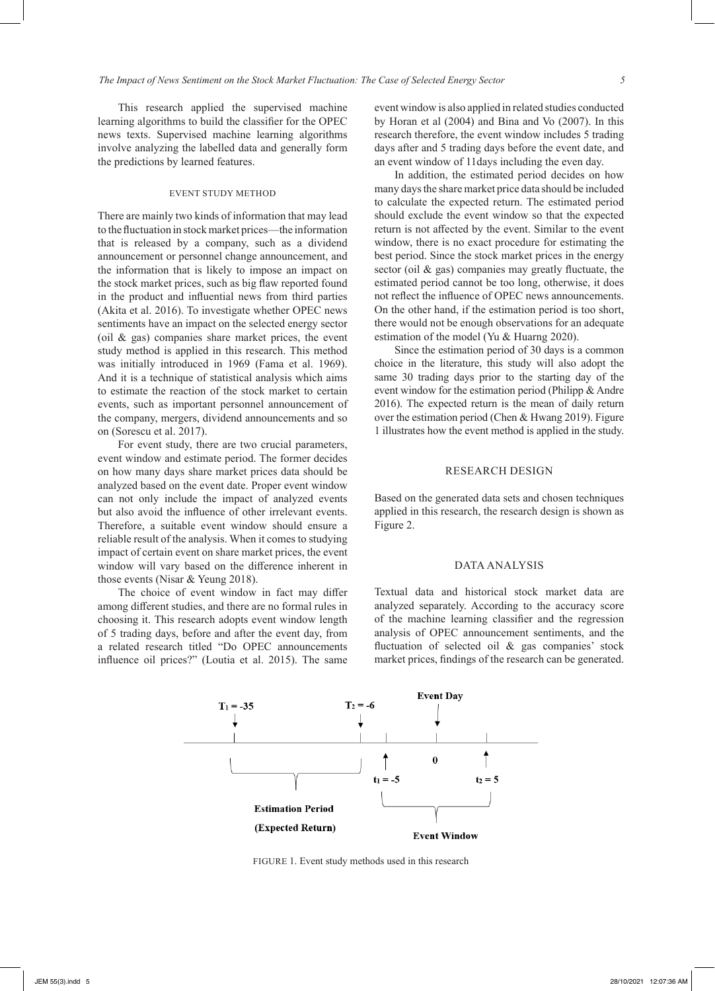This research applied the supervised machine learning algorithms to build the classifier for the OPEC news texts. Supervised machine learning algorithms involve analyzing the labelled data and generally form the predictions by learned features.

# EVENT STUDY METHOD

There are mainly two kinds of information that may lead to the fluctuation in stock market prices—the information that is released by a company, such as a dividend announcement or personnel change announcement, and the information that is likely to impose an impact on the stock market prices, such as big flaw reported found in the product and influential news from third parties (Akita et al. 2016). To investigate whether OPEC news sentiments have an impact on the selected energy sector (oil & gas) companies share market prices, the event study method is applied in this research. This method was initially introduced in 1969 (Fama et al. 1969). And it is a technique of statistical analysis which aims to estimate the reaction of the stock market to certain events, such as important personnel announcement of the company, mergers, dividend announcements and so on (Sorescu et al. 2017).

For event study, there are two crucial parameters, event window and estimate period. The former decides on how many days share market prices data should be analyzed based on the event date. Proper event window can not only include the impact of analyzed events but also avoid the influence of other irrelevant events. Therefore, a suitable event window should ensure a reliable result of the analysis. When it comes to studying impact of certain event on share market prices, the event window will vary based on the difference inherent in those events (Nisar & Yeung 2018).

The choice of event window in fact may differ among different studies, and there are no formal rules in choosing it. This research adopts event window length of 5 trading days, before and after the event day, from a related research titled "Do OPEC announcements influence oil prices?" (Loutia et al. 2015). The same

event window is also applied in related studies conducted by Horan et al (2004) and Bina and Vo (2007). In this research therefore, the event window includes 5 trading days after and 5 trading days before the event date, and an event window of 11days including the even day.

In addition, the estimated period decides on how many days the share market price data should be included to calculate the expected return. The estimated period should exclude the event window so that the expected return is not affected by the event. Similar to the event window, there is no exact procedure for estimating the best period. Since the stock market prices in the energy sector (oil & gas) companies may greatly fluctuate, the estimated period cannot be too long, otherwise, it does not reflect the influence of OPEC news announcements. On the other hand, if the estimation period is too short, there would not be enough observations for an adequate estimation of the model (Yu & Huarng 2020).

Since the estimation period of 30 days is a common choice in the literature, this study will also adopt the same 30 trading days prior to the starting day of the event window for the estimation period (Philipp & Andre 2016). The expected return is the mean of daily return over the estimation period (Chen & Hwang 2019). Figure 1 illustrates how the event method is applied in the study.

### RESEARCH DESIGN

Based on the generated data sets and chosen techniques applied in this research, the research design is shown as Figure 2.

#### DATA ANALYSIS

Textual data and historical stock market data are analyzed separately. According to the accuracy score of the machine learning classifier and the regression analysis of OPEC announcement sentiments, and the fluctuation of selected oil & gas companies' stock market prices, findings of the research can be generated.



FIGURE 1. Event study methods used in this research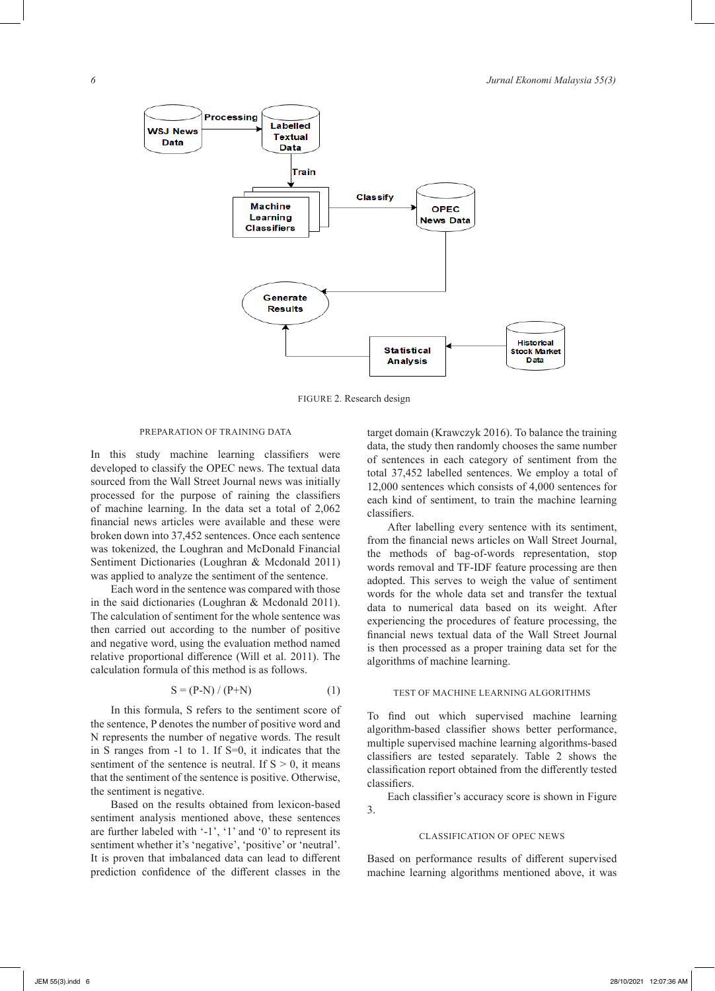

FIGURE 2. Research design

# PREPARATION OF TRAINING DATA

In this study machine learning classifiers were developed to classify the OPEC news. The textual data sourced from the Wall Street Journal news was initially processed for the purpose of raining the classifiers of machine learning. In the data set a total of 2,062 financial news articles were available and these were broken down into 37,452 sentences. Once each sentence was tokenized, the Loughran and McDonald Financial Sentiment Dictionaries (Loughran & Mcdonald 2011) was applied to analyze the sentiment of the sentence.

Each word in the sentence was compared with those in the said dictionaries (Loughran & Mcdonald 2011). The calculation of sentiment for the whole sentence was then carried out according to the number of positive and negative word, using the evaluation method named relative proportional difference (Will et al. 2011). The calculation formula of this method is as follows.

$$
S = (P-N) / (P+N)
$$
 (1)

In this formula, S refers to the sentiment score of the sentence, P denotes the number of positive word and N represents the number of negative words. The result in S ranges from -1 to 1. If S=0, it indicates that the sentiment of the sentence is neutral. If  $S > 0$ , it means that the sentiment of the sentence is positive. Otherwise, the sentiment is negative.

Based on the results obtained from lexicon-based sentiment analysis mentioned above, these sentences are further labeled with '-1', '1' and '0' to represent its sentiment whether it's 'negative', 'positive' or 'neutral'. It is proven that imbalanced data can lead to different prediction confidence of the different classes in the

target domain (Krawczyk 2016). To balance the training data, the study then randomly chooses the same number of sentences in each category of sentiment from the total 37,452 labelled sentences. We employ a total of 12,000 sentences which consists of 4,000 sentences for each kind of sentiment, to train the machine learning classifiers.

After labelling every sentence with its sentiment, from the financial news articles on Wall Street Journal, the methods of bag-of-words representation, stop words removal and TF-IDF feature processing are then adopted. This serves to weigh the value of sentiment words for the whole data set and transfer the textual data to numerical data based on its weight. After experiencing the procedures of feature processing, the financial news textual data of the Wall Street Journal is then processed as a proper training data set for the algorithms of machine learning.

#### TEST OF MACHINE LEARNING ALGORITHMS

To find out which supervised machine learning algorithm-based classifier shows better performance, multiple supervised machine learning algorithms-based classifiers are tested separately. Table 2 shows the classification report obtained from the differently tested classifiers.

Each classifier's accuracy score is shown in Figure 3.

#### CLASSIFICATION OF OPEC NEWS

Based on performance results of different supervised machine learning algorithms mentioned above, it was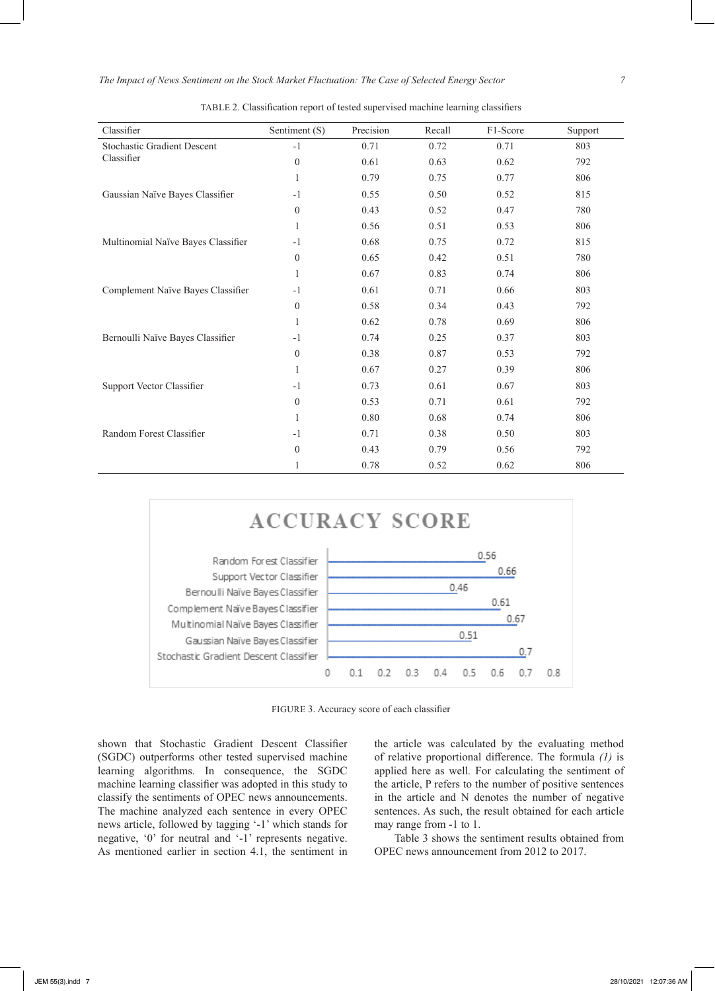| Classifier                         | Sentiment (S)    | Precision | Recall | F1-Score | Support |
|------------------------------------|------------------|-----------|--------|----------|---------|
| <b>Stochastic Gradient Descent</b> | $-1$             | 0.71      | 0.72   | 0.71     | 803     |
| Classifier                         | $\mathbf{0}$     | 0.61      | 0.63   | 0.62     | 792     |
|                                    | 1                | 0.79      | 0.75   | 0.77     | 806     |
| Gaussian Naïve Bayes Classifier    | $-1$             | 0.55      | 0.50   | 0.52     | 815     |
|                                    | $\mathbf{0}$     | 0.43      | 0.52   | 0.47     | 780     |
|                                    | 1                | 0.56      | 0.51   | 0.53     | 806     |
| Multinomial Naïve Bayes Classifier | $-1$             | 0.68      | 0.75   | 0.72     | 815     |
|                                    | $\mathbf{0}$     | 0.65      | 0.42   | 0.51     | 780     |
|                                    | 1                | 0.67      | 0.83   | 0.74     | 806     |
| Complement Naïve Bayes Classifier  | $-1$             | 0.61      | 0.71   | 0.66     | 803     |
|                                    | $\mathbf{0}$     | 0.58      | 0.34   | 0.43     | 792     |
|                                    | 1                | 0.62      | 0.78   | 0.69     | 806     |
| Bernoulli Naïve Bayes Classifier   | $-1$             | 0.74      | 0.25   | 0.37     | 803     |
|                                    | $\boldsymbol{0}$ | 0.38      | 0.87   | 0.53     | 792     |
|                                    | 1                | 0.67      | 0.27   | 0.39     | 806     |
| Support Vector Classifier          | $-1$             | 0.73      | 0.61   | 0.67     | 803     |
|                                    | $\boldsymbol{0}$ | 0.53      | 0.71   | 0.61     | 792     |
|                                    | 1                | 0.80      | 0.68   | 0.74     | 806     |
| Random Forest Classifier           | $-1$             | 0.71      | 0.38   | 0.50     | 803     |
|                                    | $\boldsymbol{0}$ | 0.43      | 0.79   | 0.56     | 792     |
|                                    | 1                | 0.78      | 0.52   | 0.62     | 806     |

TABLE 2. Classification report of tested supervised machine learning classifiers



FIGURE 3. Accuracy score of each classifier

shown that Stochastic Gradient Descent Classifier (SGDC) outperforms other tested supervised machine learning algorithms. In consequence, the SGDC machine learning classifier was adopted in this study to classify the sentiments of OPEC news announcements. The machine analyzed each sentence in every OPEC news article, followed by tagging '-1' which stands for negative, '0' for neutral and '-1' represents negative. As mentioned earlier in section 4.1, the sentiment in

the article was calculated by the evaluating method of relative proportional difference. The formula *(1)* is applied here as well*.* For calculating the sentiment of the article, P refers to the number of positive sentences in the article and N denotes the number of negative sentences. As such, the result obtained for each article may range from -1 to 1.

Table 3 shows the sentiment results obtained from OPEC news announcement from 2012 to 2017.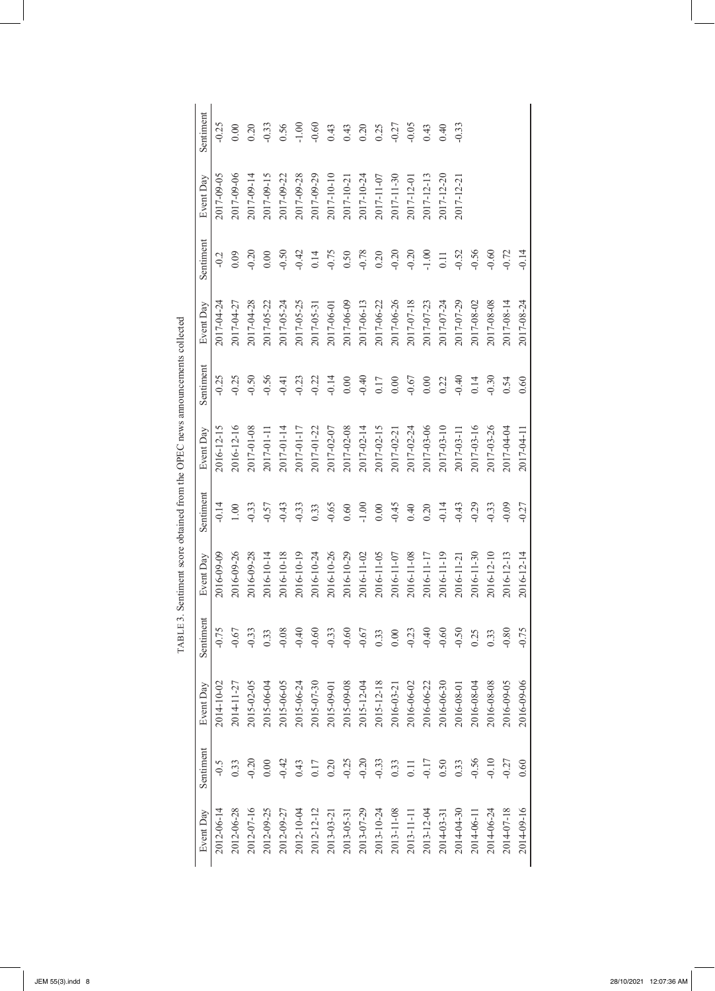| Event Day  | Sentiment | Event Day  | Sentiment | Event Day  | Sentiment | Event Day        | Sentiment | Event Day  | Sentiment | Event Day  | Sentiment |
|------------|-----------|------------|-----------|------------|-----------|------------------|-----------|------------|-----------|------------|-----------|
| 2012-06-14 | $-0.5$    | 2014-10-02 | $-0.75$   | 2016-09-09 | $-0.14$   | 2016-12-15       | $-0.25$   | 2017-04-24 | $-0.2$    | 2017-09-05 | $-0.25$   |
| 2012-06-28 | 0.33      | 2014-11-27 | $-0.67$   | 2016-09-26 | $1.00\,$  | 2016-12-16       | 0.25      | 2017-04-27 | 0.09      | 2017-09-06 | 0.00      |
| 2012-07-16 | 0.20      | 2015-02-05 | $-0.33$   | 2016-09-28 | $-0.33$   | 2017-01-08       | 0.50      | 2017-04-28 | 0.20      | 2017-09-14 | 0.20      |
| 2012-09-25 | 0.00      | 2015-06-04 | 0.33      | 2016-10-14 | $-0.57$   | 2017-01-11       | 0.56      | 2017-05-22 | 0.00      | 2017-09-15 | $-0.33$   |
| 2012-09-27 | $-0.42$   | 2015-06-05 | $-0.08$   | 2016-10-18 | $-0.43$   | $2017 - 01 - 14$ | $-0.41$   | 2017-05-24 | $-0.50$   | 2017-09-22 | 0.56      |
| 2012-10-04 | 0.43      | 2015-06-24 | $-0.40$   | 2016-10-19 | $-0.33$   | 2017-01-17       | $-0.23$   | 2017-05-25 | $-0.42$   | 2017-09-28 | $-1.00$   |
| 2012-12-12 | 0.17      | 2015-07-30 | 0.60      | 2016-10-24 | 0.33      | 2017-01-22       | $-0.22$   | 2017-05-31 | 0.14      | 2017-09-29 | $-0.60$   |
| 2013-03-21 | 0.20      | 2015-09-01 | $-0.33$   | 2016-10-26 | $-0.65$   | 2017-02-07       | $-0.14$   | 2017-06-01 | $-0.75$   | 2017-10-10 | 0.43      |
| 2013-05-31 | $-0.25$   | 2015-09-08 | $-0.60$   | 2016-10-29 | $0.60\,$  | 2017-02-08       | 0.00      | 2017-06-09 | 0.50      | 2017-10-21 | 0.43      |
| 2013-07-29 | $-0.20$   | 2015-12-04 | $-0.67$   | 2016-11-02 | $-1.00$   | 2017-02-14       | $-0.40$   | 2017-06-13 | $-0.78$   | 2017-10-24 | 0.20      |
| 2013-10-24 | $-0.33$   | 2015-12-18 | 0.33      | 2016-11-05 | $0.00\,$  | 2017-02-15       | 0.17      | 2017-06-22 | 0.20      | 2017-11-07 | 0.25      |
| 2013-11-08 | 0.33      | 2016-03-21 | 0.00      | 2016-11-07 | $-0.45$   | 2017-02-21       | 0.00      | 2017-06-26 | $-0.20$   | 2017-11-30 | $-0.27$   |
| 2013-11-11 | 0.11      | 2016-06-02 | $-0.23$   | 2016-11-08 | 0.40      | 2017-02-24       | $-0.67$   | 2017-07-18 | $-0.20$   | 2017-12-0  | $-0.05$   |
| 2013-12-04 | $-0.17$   | 2016-06-22 | $-0.40$   | 2016-11-17 | 0.20      | 2017-03-06       | 0.00      | 2017-07-23 | $-1.00$   | 2017-12-13 | 0.43      |
| 2014-03-31 | 0.50      | 2016-06-30 | $-0.60$   | 2016-11-19 | $-0.14$   | 2017-03-10       | 0.22      | 2017-07-24 | 0.11      | 2017-12-20 | 0.40      |
| 2014-04-30 | 0.33      | 2016-08-01 | $-0.50$   | 2016-11-21 | $-0.43$   | 2017-03-11       | $-0.40$   | 2017-07-29 | $-0.52$   | 2017-12-2  | $-0.33$   |
| 2014-06-11 | $-0.56$   | 2016-08-04 | 0.25      | 2016-11-30 | $-0.29$   | 2017-03-16       | 0.14      | 2017-08-02 | $-0.56$   |            |           |
| 2014-06-24 | $-0.10$   | 2016-08-08 | 0.33      | 2016-12-10 | $-0.33$   | 2017-03-26       | 0.30      | 2017-08-08 | $-0.60$   |            |           |
| 2014-07-18 | $-0.27$   | 2016-09-05 | $-0.80$   | 2016-12-13 | $-0.09$   | 2017-04-04       | 0.54      | 2017-08-14 | $-0.72$   |            |           |
| 2014-09-16 | 0.60      | 2016-09-06 | $-0.75$   | 2016-12-14 | $-0.27$   | 2017-04-11       | 0.60      | 2017-08-24 | $-0.14$   |            |           |

TABLE 3. Sentiment score obtained from the OPEC news announcements collected TABLE 3. Sentiment score obtained from the OPEC news announcements collected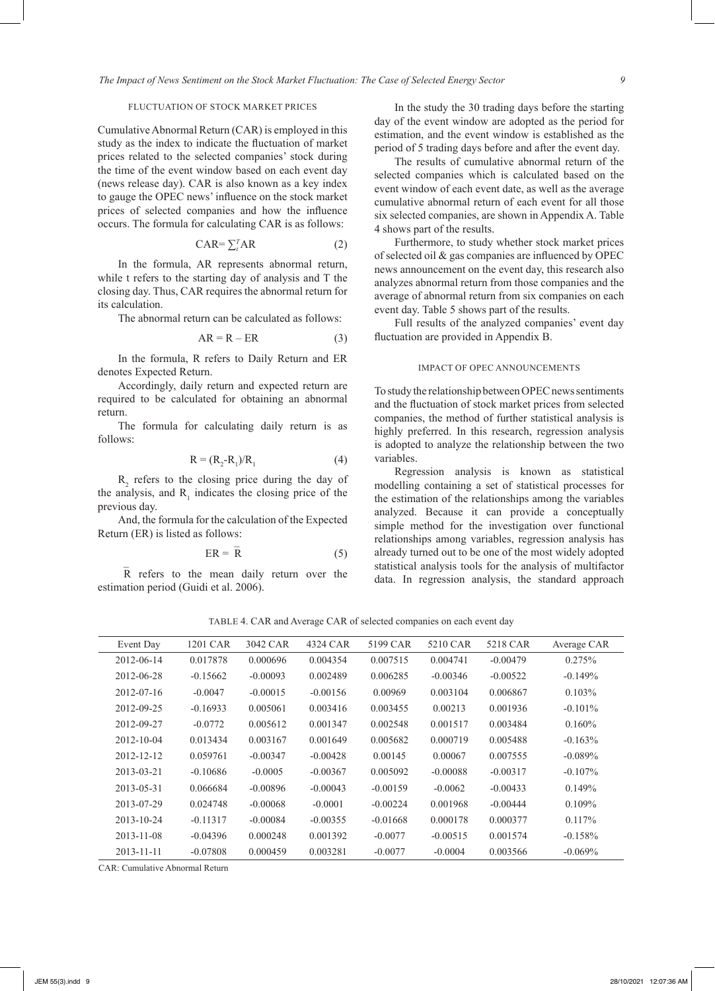# FLUCTUATION OF STOCK MARKET PRICES

Cumulative Abnormal Return (CAR) is employed in this study as the index to indicate the fluctuation of market prices related to the selected companies' stock during the time of the event window based on each event day (news release day). CAR is also known as a key index to gauge the OPEC news' influence on the stock market prices of selected companies and how the influence occurs. The formula for calculating CAR is as follows:

$$
CAR = \sum_{t}^{T} AR
$$
 (2)

In the formula, AR represents abnormal return, while t refers to the starting day of analysis and T the closing day. Thus, CAR requires the abnormal return for its calculation.

The abnormal return can be calculated as follows:

$$
AR = R - ER \tag{3}
$$

In the formula, R refers to Daily Return and ER denotes Expected Return.

Accordingly, daily return and expected return are required to be calculated for obtaining an abnormal return.

The formula for calculating daily return is as follows:

$$
\mathbf{R} = (\mathbf{R}_2 - \mathbf{R}_1)/\mathbf{R}_1 \tag{4}
$$

 $R_2$  refers to the closing price during the day of the analysis, and  $R_1$  indicates the closing price of the previous day.

And, the formula for the calculation of the Expected Return (ER) is listed as follows:

$$
ER = \overline{R} \tag{5}
$$

R refers to the mean daily return over the estimation period (Guidi et al. 2006).

In the study the 30 trading days before the starting day of the event window are adopted as the period for estimation, and the event window is established as the period of 5 trading days before and after the event day.

The results of cumulative abnormal return of the selected companies which is calculated based on the event window of each event date, as well as the average cumulative abnormal return of each event for all those six selected companies, are shown in Appendix A. Table 4 shows part of the results.

Furthermore, to study whether stock market prices of selected oil & gas companies are influenced by OPEC news announcement on the event day, this research also analyzes abnormal return from those companies and the average of abnormal return from six companies on each event day. Table 5 shows part of the results.

Full results of the analyzed companies' event day fluctuation are provided in Appendix B.

# IMPACT OF OPEC ANNOUNCEMENTS

To study the relationship between OPEC news sentiments and the fluctuation of stock market prices from selected companies, the method of further statistical analysis is highly preferred. In this research, regression analysis is adopted to analyze the relationship between the two variables.

Regression analysis is known as statistical modelling containing a set of statistical processes for the estimation of the relationships among the variables analyzed. Because it can provide a conceptually simple method for the investigation over functional relationships among variables, regression analysis has already turned out to be one of the most widely adopted statistical analysis tools for the analysis of multifactor data. In regression analysis, the standard approach

TABLE 4. CAR and Average CAR of selected companies on each event day

| Event Day        | 1201 CAR   | 3042 CAR   | 4324 CAR   | 5199 CAR   | 5210 CAR   | 5218 CAR   | Average CAR |
|------------------|------------|------------|------------|------------|------------|------------|-------------|
| 2012-06-14       | 0.017878   | 0.000696   | 0.004354   | 0.007515   | 0.004741   | $-0.00479$ | 0.275%      |
| 2012-06-28       | $-0.15662$ | $-0.00093$ | 0.002489   | 0.006285   | $-0.00346$ | $-0.00522$ | $-0.149%$   |
| 2012-07-16       | $-0.0047$  | $-0.00015$ | $-0.00156$ | 0.00969    | 0.003104   | 0.006867   | $0.103\%$   |
| 2012-09-25       | $-0.16933$ | 0.005061   | 0.003416   | 0.003455   | 0.00213    | 0.001936   | $-0.101\%$  |
| 2012-09-27       | $-0.0772$  | 0.005612   | 0.001347   | 0.002548   | 0.001517   | 0.003484   | 0.160%      |
| $2012 - 10 - 04$ | 0.013434   | 0.003167   | 0.001649   | 0.005682   | 0.000719   | 0.005488   | $-0.163%$   |
| 2012-12-12       | 0.059761   | $-0.00347$ | $-0.00428$ | 0.00145    | 0.00067    | 0.007555   | $-0.089\%$  |
| 2013-03-21       | $-0.10686$ | $-0.0005$  | $-0.00367$ | 0.005092   | $-0.00088$ | $-0.00317$ | $-0.107\%$  |
| 2013-05-31       | 0.066684   | $-0.00896$ | $-0.00043$ | $-0.00159$ | $-0.0062$  | $-0.00433$ | 0.149%      |
| 2013-07-29       | 0.024748   | $-0.00068$ | $-0.0001$  | $-0.00224$ | 0.001968   | $-0.00444$ | $0.109\%$   |
| $2013 - 10 - 24$ | $-0.11317$ | $-0.00084$ | $-0.00355$ | $-0.01668$ | 0.000178   | 0.000377   | $0.117\%$   |
| $2013 - 11 - 08$ | $-0.04396$ | 0.000248   | 0.001392   | $-0.0077$  | $-0.00515$ | 0.001574   | $-0.158%$   |
| 2013-11-11       | $-0.07808$ | 0.000459   | 0.003281   | $-0.0077$  | $-0.0004$  | 0.003566   | $-0.069\%$  |

CAR: Cumulative Abnormal Return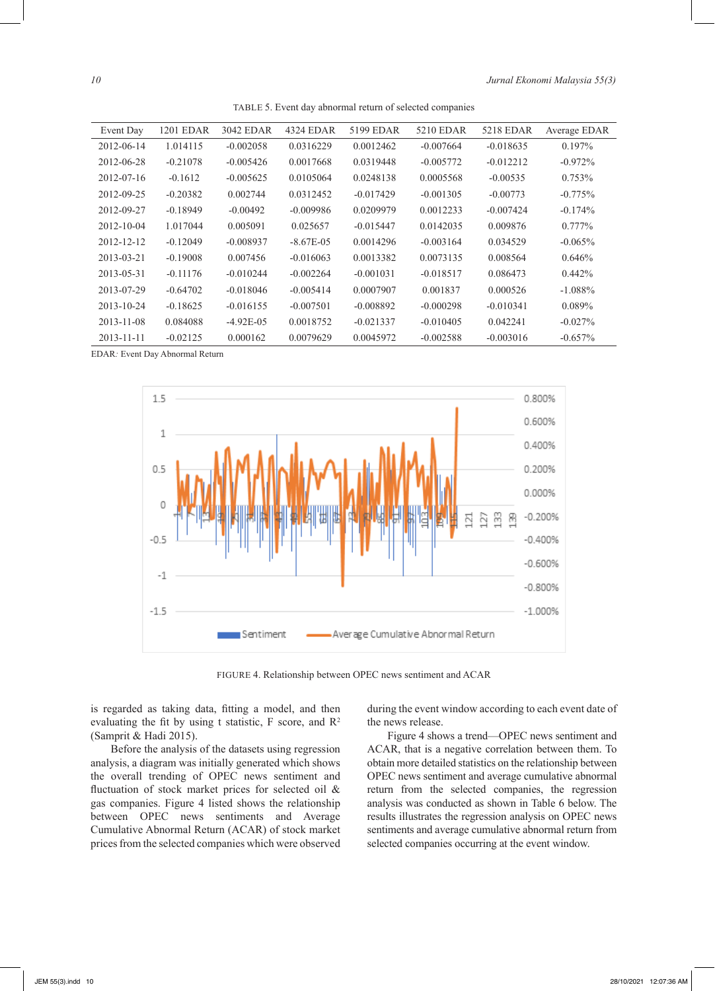TABLE 5. Event day abnormal return of selected companies

| Event Day        | <b>1201 EDAR</b> | 3042 EDAR    | 4324 EDAR    | 5199 EDAR   | 5210 EDAR   | 5218 EDAR   | Average EDAR |
|------------------|------------------|--------------|--------------|-------------|-------------|-------------|--------------|
| 2012-06-14       | 1.014115         | $-0.002058$  | 0.0316229    | 0.0012462   | $-0.007664$ | $-0.018635$ | $0.197\%$    |
| 2012-06-28       | $-0.21078$       | $-0.005426$  | 0.0017668    | 0.0319448   | $-0.005772$ | $-0.012212$ | $-0.972%$    |
| $2012 - 07 - 16$ | $-0.1612$        | $-0.005625$  | 0.0105064    | 0.0248138   | 0.0005568   | $-0.00535$  | $0.753\%$    |
| 2012-09-25       | $-0.20382$       | 0.002744     | 0.0312452    | $-0.017429$ | $-0.001305$ | $-0.00773$  | $-0.775%$    |
| 2012-09-27       | $-0.18949$       | $-0.00492$   | $-0.009986$  | 0.0209979   | 0.0012233   | $-0.007424$ | $-0.174\%$   |
| $2012 - 10 - 04$ | 1.017044         | 0.005091     | 0.025657     | $-0.015447$ | 0.0142035   | 0.009876    | $0.777\%$    |
| 2012-12-12       | $-0.12049$       | $-0.008937$  | $-8.67E-0.5$ | 0.0014296   | $-0.003164$ | 0.034529    | $-0.065\%$   |
| 2013-03-21       | $-0.19008$       | 0.007456     | $-0.016063$  | 0.0013382   | 0.0073135   | 0.008564    | 0.646%       |
| 2013-05-31       | $-0.11176$       | $-0.010244$  | $-0.002264$  | $-0.001031$ | $-0.018517$ | 0.086473    | $0.442\%$    |
| 2013-07-29       | $-0.64702$       | $-0.018046$  | $-0.005414$  | 0.0007907   | 0.001837    | 0.000526    | $-1.088\%$   |
| $2013 - 10 - 24$ | $-0.18625$       | $-0.016155$  | $-0.007501$  | $-0.008892$ | $-0.000298$ | $-0.010341$ | $0.089\%$    |
| $2013 - 11 - 08$ | 0.084088         | $-4.92E-0.5$ | 0.0018752    | $-0.021337$ | $-0.010405$ | 0.042241    | $-0.027\%$   |
| $2013 - 11 - 11$ | $-0.02125$       | 0.000162     | 0.0079629    | 0.0045972   | $-0.002588$ | $-0.003016$ | $-0.657\%$   |

EDAR*:* Event Day Abnormal Return



FIGURE 4. Relationship between OPEC news sentiment and ACAR

is regarded as taking data, fitting a model, and then evaluating the fit by using t statistic,  $F$  score, and  $R^2$ (Samprit & Hadi 2015).

Before the analysis of the datasets using regression analysis, a diagram was initially generated which shows the overall trending of OPEC news sentiment and fluctuation of stock market prices for selected oil & gas companies. Figure 4 listed shows the relationship between OPEC news sentiments and Average Cumulative Abnormal Return (ACAR) of stock market prices from the selected companies which were observed during the event window according to each event date of the news release.

Figure 4 shows a trend—OPEC news sentiment and ACAR, that is a negative correlation between them. To obtain more detailed statistics on the relationship between OPEC news sentiment and average cumulative abnormal return from the selected companies, the regression analysis was conducted as shown in Table 6 below. The results illustrates the regression analysis on OPEC news sentiments and average cumulative abnormal return from selected companies occurring at the event window.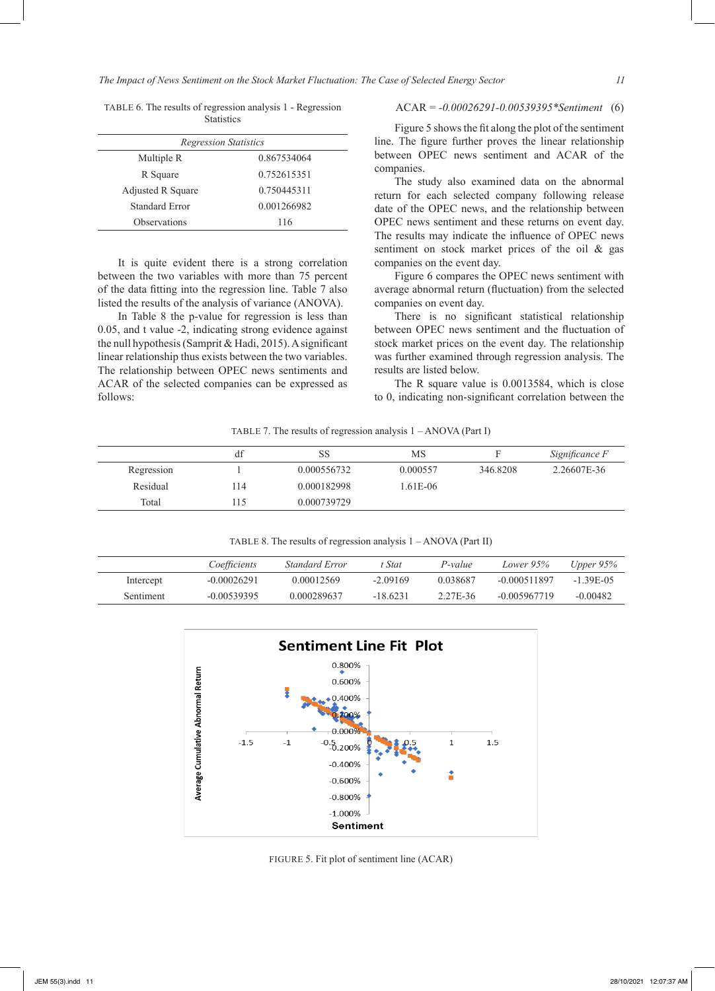*The Impact of News Sentiment on the Stock Market Fluctuation: The Case of Selected Energy Sector 11*

| <b>Regression Statistics</b> |             |
|------------------------------|-------------|
| Multiple R                   | 0.867534064 |
| R Square                     | 0.752615351 |
| Adjusted R Square            | 0.750445311 |
| Standard Error               | 0.001266982 |
| Observations                 | 116         |

TABLE 6. The results of regression analysis 1 - Regression **Statistics** 

# It is quite evident there is a strong correlation between the two variables with more than 75 percent of the data fitting into the regression line. Table 7 also listed the results of the analysis of variance (ANOVA).

In Table 8 the p-value for regression is less than 0.05, and t value -2, indicating strong evidence against the null hypothesis (Samprit & Hadi, 2015). A significant linear relationship thus exists between the two variables. The relationship between OPEC news sentiments and ACAR of the selected companies can be expressed as follows:

# ACAR = *-0.00026291-0.00539395\*Sentiment* (6)

Figure 5 shows the fit along the plot of the sentiment line. The figure further proves the linear relationship between OPEC news sentiment and ACAR of the companies.

The study also examined data on the abnormal return for each selected company following release date of the OPEC news, and the relationship between OPEC news sentiment and these returns on event day. The results may indicate the influence of OPEC news sentiment on stock market prices of the oil & gas companies on the event day.

Figure 6 compares the OPEC news sentiment with average abnormal return (fluctuation) from the selected companies on event day.

There is no significant statistical relationship between OPEC news sentiment and the fluctuation of stock market prices on the event day. The relationship was further examined through regression analysis. The results are listed below.

The R square value is 0.0013584, which is close to 0, indicating non-significant correlation between the

TABLE 7. The results of regression analysis 1 – ANOVA (Part I)

|            | df   | SS          | MS       |          | Significance F |
|------------|------|-------------|----------|----------|----------------|
| Regression |      | 0.000556732 | 0.000557 | 346.8208 | 2.26607E-36    |
| Residual   | 114  | 0.000182998 | 1.61E-06 |          |                |
| Total      | . 15 | 0.000739729 |          |          |                |

TABLE 8. The results of regression analysis 1 – ANOVA (Part II)

|           | Coefficients  | Standard Error | <sup>*</sup> Stat | P-value  | Lower 95%      | Upper $95\%$ |
|-----------|---------------|----------------|-------------------|----------|----------------|--------------|
| Intercept | $-0.00026291$ | 0.00012569     | $-2.09169$        | 0.038687 | $-0.000511897$ | $-1.39E-05$  |
| Sentiment | $-0.00539395$ | 0.000289637    | $-18.6231$        | 2.27E-36 | $-0.005967719$ | $-0.00482$   |



FIGURE 5. Fit plot of sentiment line (ACAR)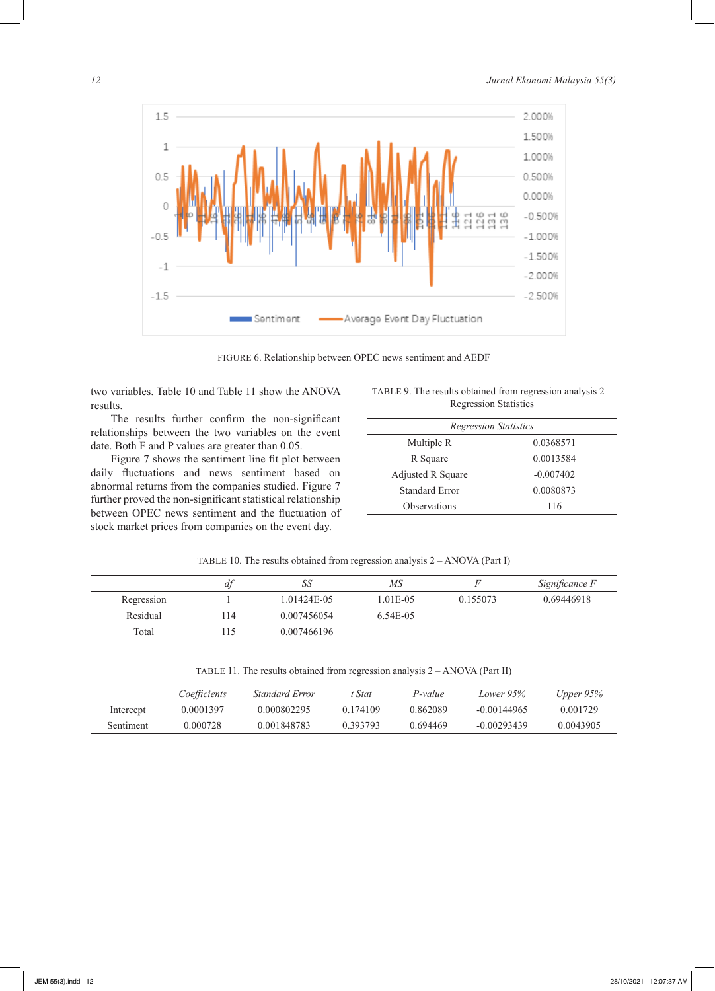

FIGURE 6. Relationship between OPEC news sentiment and AEDF

two variables. Table 10 and Table 11 show the ANOVA results.

The results further confirm the non-significant relationships between the two variables on the event date. Both F and P values are greater than 0.05.

Figure 7 shows the sentiment line fit plot between daily fluctuations and news sentiment based on abnormal returns from the companies studied. Figure 7 further proved the non-significant statistical relationship between OPEC news sentiment and the fluctuation of stock market prices from companies on the event day.

TABLE 9. The results obtained from regression analysis 2 – Regression Statistics

| <b>Regression Statistics</b> |             |
|------------------------------|-------------|
| Multiple R                   | 0.0368571   |
| R Square                     | 0.0013584   |
| Adjusted R Square            | $-0.007402$ |
| Standard Error               | 0.0080873   |
| Observations                 | 116         |
|                              |             |

| TABLE 10. The results obtained from regression analysis $2 - ANOVA$ (Part I) |  |  |
|------------------------------------------------------------------------------|--|--|
|                                                                              |  |  |

|            | df  | SS          | МS         |          | Significance F |
|------------|-----|-------------|------------|----------|----------------|
| Regression |     | 1.01424E-05 | 1.01E-05   | 0.155073 | 0.69446918     |
| Residual   | 114 | 0.007456054 | $6.54E-05$ |          |                |
| Total      | 15  | 0.007466196 |            |          |                |

| TABLE 11. The results obtained from regression analysis 2 - ANOVA (Part II) |  |  |  |
|-----------------------------------------------------------------------------|--|--|--|
|                                                                             |  |  |  |

|           | Coefficients | Standard Error | Stat:    | P-value  | Lower 95%     | Upper $95\%$ |
|-----------|--------------|----------------|----------|----------|---------------|--------------|
| Intercept | 0.0001397    | 0.000802295    | 0.174109 | 0.862089 | $-0.00144965$ | 0.001729     |
| Sentiment | 0.000728     | 0.001848783    | 0.393793 | 0.694469 | $-0.00293439$ | 0.0043905    |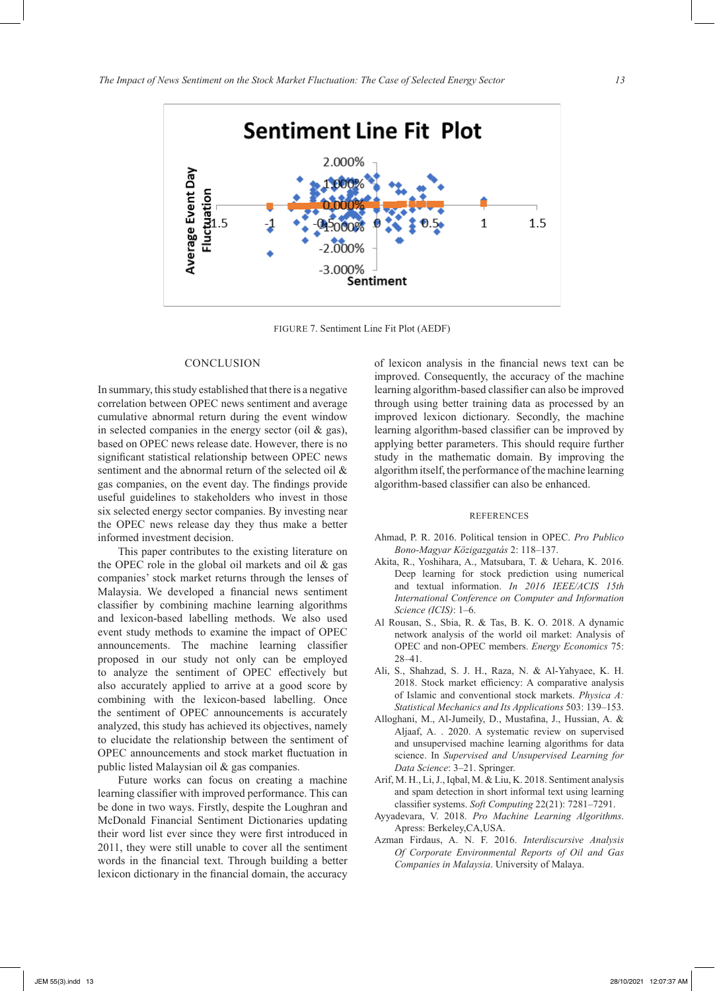

FIGURE 7. Sentiment Line Fit Plot (AEDF)

### CONCLUSION

In summary, this study established that there is a negative correlation between OPEC news sentiment and average cumulative abnormal return during the event window in selected companies in the energy sector (oil  $\&$  gas), based on OPEC news release date. However, there is no significant statistical relationship between OPEC news sentiment and the abnormal return of the selected oil & gas companies, on the event day. The findings provide useful guidelines to stakeholders who invest in those six selected energy sector companies. By investing near the OPEC news release day they thus make a better informed investment decision.

This paper contributes to the existing literature on the OPEC role in the global oil markets and oil  $\&$  gas companies' stock market returns through the lenses of Malaysia. We developed a financial news sentiment classifier by combining machine learning algorithms and lexicon-based labelling methods. We also used event study methods to examine the impact of OPEC announcements. The machine learning classifier proposed in our study not only can be employed to analyze the sentiment of OPEC effectively but also accurately applied to arrive at a good score by combining with the lexicon-based labelling. Once the sentiment of OPEC announcements is accurately analyzed, this study has achieved its objectives, namely to elucidate the relationship between the sentiment of OPEC announcements and stock market fluctuation in public listed Malaysian oil & gas companies.

Future works can focus on creating a machine learning classifier with improved performance. This can be done in two ways. Firstly, despite the Loughran and McDonald Financial Sentiment Dictionaries updating their word list ever since they were first introduced in 2011, they were still unable to cover all the sentiment words in the financial text. Through building a better lexicon dictionary in the financial domain, the accuracy

of lexicon analysis in the financial news text can be improved. Consequently, the accuracy of the machine learning algorithm-based classifier can also be improved through using better training data as processed by an improved lexicon dictionary. Secondly, the machine learning algorithm-based classifier can be improved by applying better parameters. This should require further study in the mathematic domain. By improving the algorithm itself, the performance of the machine learning algorithm-based classifier can also be enhanced.

#### REFERENCES

- Ahmad, P. R. 2016. Political tension in OPEC. *Pro Publico Bono-Magyar Közigazgatás* 2: 118–137.
- Akita, R., Yoshihara, A., Matsubara, T. & Uehara, K. 2016. Deep learning for stock prediction using numerical and textual information. *In 2016 IEEE/ACIS 15th International Conference on Computer and Information Science (ICIS)*: 1–6.
- Al Rousan, S., Sbia, R. & Tas, B. K. O. 2018. A dynamic network analysis of the world oil market: Analysis of OPEC and non-OPEC members. *Energy Economics* 75: 28–41.
- Ali, S., Shahzad, S. J. H., Raza, N. & Al-Yahyaee, K. H. 2018. Stock market efficiency: A comparative analysis of Islamic and conventional stock markets. *Physica A: Statistical Mechanics and Its Applications* 503: 139–153.
- Alloghani, M., Al-Jumeily, D., Mustafina, J., Hussian, A. & Aljaaf, A. . 2020. A systematic review on supervised and unsupervised machine learning algorithms for data science. In *Supervised and Unsupervised Learning for Data Science*: 3–21. Springer.
- Arif, M. H., Li, J., Iqbal, M. & Liu, K. 2018. Sentiment analysis and spam detection in short informal text using learning classifier systems. *Soft Computing* 22(21): 7281–7291.
- Ayyadevara, V. 2018. *Pro Machine Learning Algorithms*. Apress: Berkeley,CA,USA.
- Azman Firdaus, A. N. F. 2016. *Interdiscursive Analysis Of Corporate Environmental Reports of Oil and Gas Companies in Malaysia*. University of Malaya.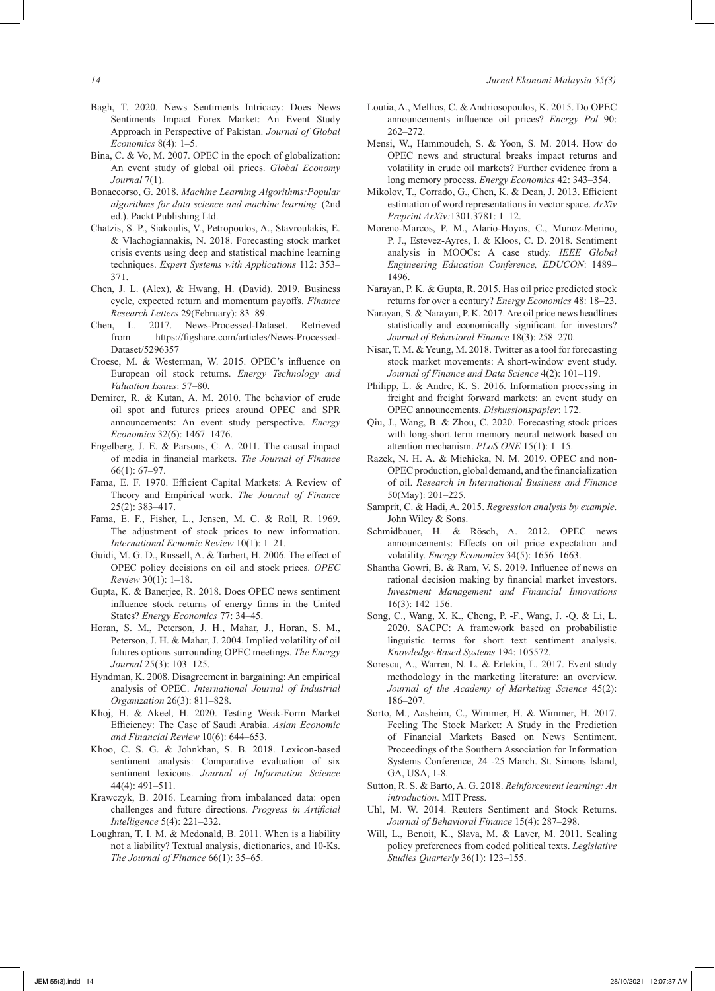- Bagh, T. 2020. News Sentiments Intricacy: Does News Sentiments Impact Forex Market: An Event Study Approach in Perspective of Pakistan. *Journal of Global Economics* 8(4): 1–5.
- Bina, C. & Vo, M. 2007. OPEC in the epoch of globalization: An event study of global oil prices. *Global Economy Journal* 7(1).
- Bonaccorso, G. 2018. *Machine Learning Algorithms:Popular algorithms for data science and machine learning.* (2nd ed.). Packt Publishing Ltd.
- Chatzis, S. P., Siakoulis, V., Petropoulos, A., Stavroulakis, E. & Vlachogiannakis, N. 2018. Forecasting stock market crisis events using deep and statistical machine learning techniques. *Expert Systems with Applications* 112: 353– 371.
- Chen, J. L. (Alex), & Hwang, H. (David). 2019. Business cycle, expected return and momentum payoffs. *Finance Research Letters* 29(February): 83–89.
- Chen, L. 2017. News-Processed-Dataset. Retrieved from https://figshare.com/articles/News-Processed-Dataset/5296357
- Croese, M. & Westerman, W. 2015. OPEC's influence on European oil stock returns. *Energy Technology and Valuation Issues*: 57–80.
- Demirer, R. & Kutan, A. M. 2010. The behavior of crude oil spot and futures prices around OPEC and SPR announcements: An event study perspective. *Energy Economics* 32(6): 1467–1476.
- Engelberg, J. E. & Parsons, C. A. 2011. The causal impact of media in financial markets. *The Journal of Finance* 66(1): 67–97.
- Fama, E. F. 1970. Efficient Capital Markets: A Review of Theory and Empirical work. *The Journal of Finance* 25(2): 383–417.
- Fama, E. F., Fisher, L., Jensen, M. C. & Roll, R. 1969. The adjustment of stock prices to new information. *International Ecnomic Review* 10(1): 1–21.
- Guidi, M. G. D., Russell, A. & Tarbert, H. 2006. The effect of OPEC policy decisions on oil and stock prices. *OPEC Review* 30(1): 1–18.
- Gupta, K. & Banerjee, R. 2018. Does OPEC news sentiment influence stock returns of energy firms in the United States? *Energy Economics* 77: 34–45.
- Horan, S. M., Peterson, J. H., Mahar, J., Horan, S. M., Peterson, J. H. & Mahar, J. 2004. Implied volatility of oil futures options surrounding OPEC meetings. *The Energy Journal* 25(3): 103–125.
- Hyndman, K. 2008. Disagreement in bargaining: An empirical analysis of OPEC. *International Journal of Industrial Organization* 26(3): 811–828.
- Khoj, H. & Akeel, H. 2020. Testing Weak-Form Market Efficiency: The Case of Saudi Arabia. *Asian Economic and Financial Review* 10(6): 644–653.
- Khoo, C. S. G. & Johnkhan, S. B. 2018. Lexicon-based sentiment analysis: Comparative evaluation of six sentiment lexicons. *Journal of Information Science* 44(4): 491–511.
- Krawczyk, B. 2016. Learning from imbalanced data: open challenges and future directions. *Progress in Artificial Intelligence* 5(4): 221–232.
- Loughran, T. I. M. & Mcdonald, B. 2011. When is a liability not a liability? Textual analysis, dictionaries, and 10-Ks. *The Journal of Finance* 66(1): 35–65.
- Loutia, A., Mellios, C. & Andriosopoulos, K. 2015. Do OPEC announcements influence oil prices? *Energy Pol* 90: 262–272.
- Mensi, W., Hammoudeh, S. & Yoon, S. M. 2014. How do OPEC news and structural breaks impact returns and volatility in crude oil markets? Further evidence from a long memory process. *Energy Economics* 42: 343–354.
- Mikolov, T., Corrado, G., Chen, K. & Dean, J. 2013. Efficient estimation of word representations in vector space. *ArXiv Preprint ArXiv:*1301.3781: 1–12.
- Moreno-Marcos, P. M., Alario-Hoyos, C., Munoz-Merino, P. J., Estevez-Ayres, I. & Kloos, C. D. 2018. Sentiment analysis in MOOCs: A case study. *IEEE Global Engineering Education Conference, EDUCON*: 1489– 1496.
- Narayan, P. K. & Gupta, R. 2015. Has oil price predicted stock returns for over a century? *Energy Economics* 48: 18–23.
- Narayan, S. & Narayan, P. K. 2017. Are oil price news headlines statistically and economically significant for investors? *Journal of Behavioral Finance* 18(3): 258–270.
- Nisar, T. M. & Yeung, M. 2018. Twitter as a tool for forecasting stock market movements: A short-window event study. *Journal of Finance and Data Science* 4(2): 101–119.
- Philipp, L. & Andre, K. S. 2016. Information processing in freight and freight forward markets: an event study on OPEC announcements. *Diskussionspapier*: 172.
- Qiu, J., Wang, B. & Zhou, C. 2020. Forecasting stock prices with long-short term memory neural network based on attention mechanism. *PLoS ONE* 15(1): 1–15.
- Razek, N. H. A. & Michieka, N. M. 2019. OPEC and non-OPEC production, global demand, and the financialization of oil. *Research in International Business and Finance* 50(May): 201–225.
- Samprit, C. & Hadi, A. 2015. *Regression analysis by example*. John Wiley & Sons.
- Schmidbauer, H. & Rösch, A. 2012. OPEC news announcements: Effects on oil price expectation and volatility. *Energy Economics* 34(5): 1656–1663.
- Shantha Gowri, B. & Ram, V. S. 2019. Influence of news on rational decision making by financial market investors. *Investment Management and Financial Innovations* 16(3): 142–156.
- Song, C., Wang, X. K., Cheng, P. -F., Wang, J. -Q. & Li, L. 2020. SACPC: A framework based on probabilistic linguistic terms for short text sentiment analysis. *Knowledge-Based Systems* 194: 105572.
- Sorescu, A., Warren, N. L. & Ertekin, L. 2017. Event study methodology in the marketing literature: an overview. *Journal of the Academy of Marketing Science* 45(2): 186–207.
- Sorto, M., Aasheim, C., Wimmer, H. & Wimmer, H. 2017. Feeling The Stock Market: A Study in the Prediction of Financial Markets Based on News Sentiment. Proceedings of the Southern Association for Information Systems Conference, 24 -25 March. St. Simons Island, GA, USA, 1-8.
- Sutton, R. S. & Barto, A. G. 2018. *Reinforcement learning: An introduction*. MIT Press.
- Uhl, M. W. 2014. Reuters Sentiment and Stock Returns. *Journal of Behavioral Finance* 15(4): 287–298.
- Will, L., Benoit, K., Slava, M. & Laver, M. 2011. Scaling policy preferences from coded political texts. *Legislative Studies Quarterly* 36(1): 123–155.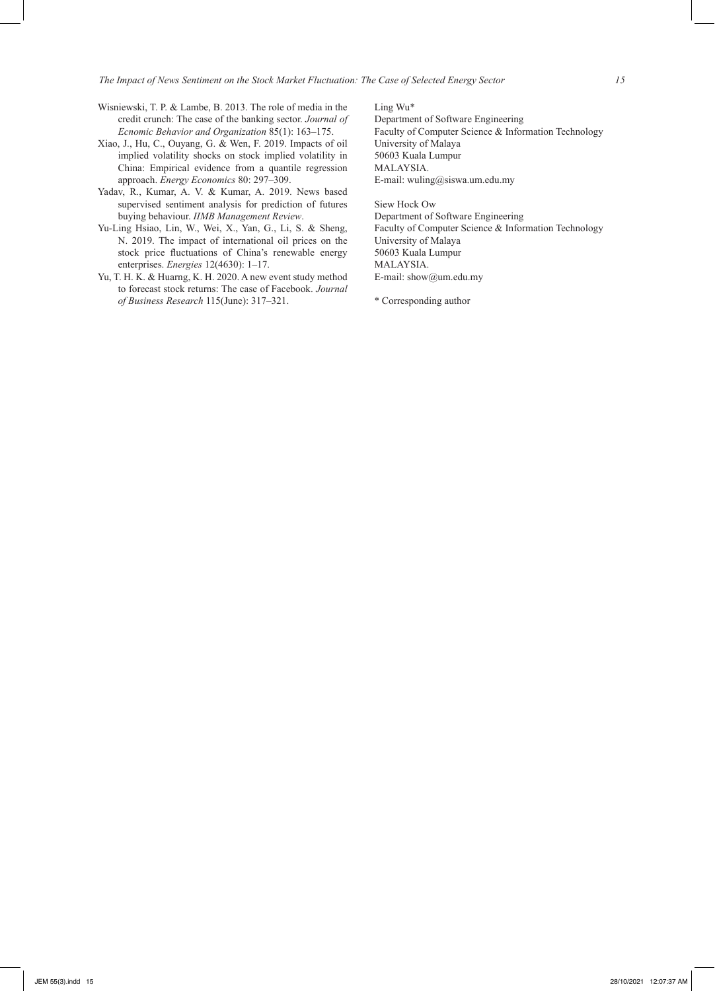- Wisniewski, T. P. & Lambe, B. 2013. The role of media in the credit crunch: The case of the banking sector. *Journal of Ecnomic Behavior and Organization* 85(1): 163–175.
- Xiao, J., Hu, C., Ouyang, G. & Wen, F. 2019. Impacts of oil implied volatility shocks on stock implied volatility in China: Empirical evidence from a quantile regression approach. *Energy Economics* 80: 297–309.
- Yadav, R., Kumar, A. V. & Kumar, A. 2019. News based supervised sentiment analysis for prediction of futures buying behaviour. *IIMB Management Review*.
- Yu-Ling Hsiao, Lin, W., Wei, X., Yan, G., Li, S. & Sheng, N. 2019. The impact of international oil prices on the stock price fluctuations of China's renewable energy enterprises. *Energies* 12(4630): 1–17.
- Yu, T. H. K. & Huarng, K. H. 2020. A new event study method to forecast stock returns: The case of Facebook. *Journal of Business Research* 115(June): 317–321.

Ling Wu\* Department of Software Engineering Faculty of Computer Science & Information Technology University of Malaya 50603 Kuala Lumpur MALAYSIA. E-mail: wuling@siswa.um.edu.my

Siew Hock Ow Department of Software Engineering Faculty of Computer Science & Information Technology University of Malaya 50603 Kuala Lumpur MALAYSIA. E-mail: show@um.edu.my

\* Corresponding author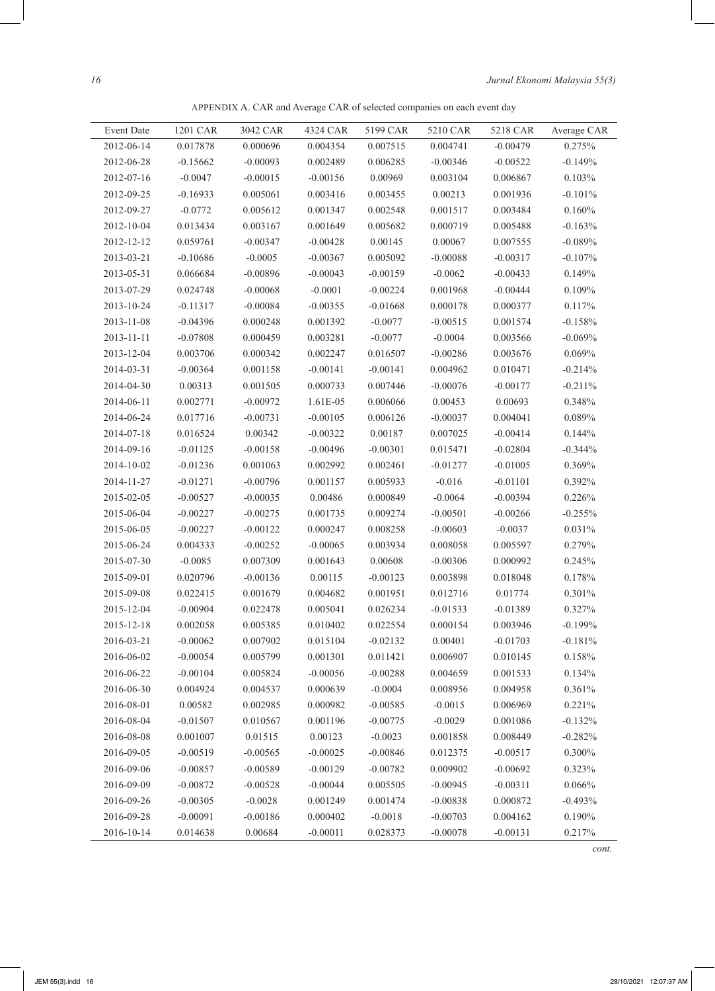APPENDIX A. CAR and Average CAR of selected companies on each event day

| Event Date | 1201 CAR   | 3042 CAR   | 4324 CAR   | 5199 CAR   | 5210 CAR   | 5218 CAR   | Average CAR |
|------------|------------|------------|------------|------------|------------|------------|-------------|
| 2012-06-14 | 0.017878   | 0.000696   | 0.004354   | 0.007515   | 0.004741   | $-0.00479$ | 0.275%      |
| 2012-06-28 | $-0.15662$ | $-0.00093$ | 0.002489   | 0.006285   | $-0.00346$ | $-0.00522$ | $-0.149%$   |
| 2012-07-16 | $-0.0047$  | $-0.00015$ | $-0.00156$ | 0.00969    | 0.003104   | 0.006867   | 0.103%      |
| 2012-09-25 | $-0.16933$ | 0.005061   | 0.003416   | 0.003455   | 0.00213    | 0.001936   | $-0.101%$   |
| 2012-09-27 | $-0.0772$  | 0.005612   | 0.001347   | 0.002548   | 0.001517   | 0.003484   | 0.160%      |
| 2012-10-04 | 0.013434   | 0.003167   | 0.001649   | 0.005682   | 0.000719   | 0.005488   | $-0.163%$   |
| 2012-12-12 | 0.059761   | $-0.00347$ | $-0.00428$ | 0.00145    | 0.00067    | 0.007555   | $-0.089%$   |
| 2013-03-21 | $-0.10686$ | $-0.0005$  | $-0.00367$ | 0.005092   | $-0.00088$ | $-0.00317$ | $-0.107%$   |
| 2013-05-31 | 0.066684   | $-0.00896$ | $-0.00043$ | $-0.00159$ | $-0.0062$  | $-0.00433$ | 0.149%      |
| 2013-07-29 | 0.024748   | $-0.00068$ | $-0.0001$  | $-0.00224$ | 0.001968   | $-0.00444$ | 0.109%      |
| 2013-10-24 | $-0.11317$ | $-0.00084$ | $-0.00355$ | $-0.01668$ | 0.000178   | 0.000377   | 0.117%      |
|            |            |            |            |            |            |            |             |
| 2013-11-08 | $-0.04396$ | 0.000248   | 0.001392   | $-0.0077$  | $-0.00515$ | 0.001574   | $-0.158%$   |
| 2013-11-11 | $-0.07808$ | 0.000459   | 0.003281   | $-0.0077$  | $-0.0004$  | 0.003566   | $-0.069%$   |
| 2013-12-04 | 0.003706   | 0.000342   | 0.002247   | 0.016507   | $-0.00286$ | 0.003676   | 0.069%      |
| 2014-03-31 | $-0.00364$ | 0.001158   | $-0.00141$ | $-0.00141$ | 0.004962   | 0.010471   | $-0.214%$   |
| 2014-04-30 | 0.00313    | 0.001505   | 0.000733   | 0.007446   | $-0.00076$ | $-0.00177$ | $-0.211%$   |
| 2014-06-11 | 0.002771   | $-0.00972$ | 1.61E-05   | 0.006066   | 0.00453    | 0.00693    | 0.348%      |
| 2014-06-24 | 0.017716   | $-0.00731$ | $-0.00105$ | 0.006126   | $-0.00037$ | 0.004041   | 0.089%      |
| 2014-07-18 | 0.016524   | 0.00342    | $-0.00322$ | 0.00187    | 0.007025   | $-0.00414$ | 0.144%      |
| 2014-09-16 | $-0.01125$ | $-0.00158$ | $-0.00496$ | $-0.00301$ | 0.015471   | $-0.02804$ | $-0.344%$   |
| 2014-10-02 | $-0.01236$ | 0.001063   | 0.002992   | 0.002461   | $-0.01277$ | $-0.01005$ | 0.369%      |
| 2014-11-27 | $-0.01271$ | $-0.00796$ | 0.001157   | 0.005933   | $-0.016$   | $-0.01101$ | 0.392%      |
| 2015-02-05 | $-0.00527$ | $-0.00035$ | 0.00486    | 0.000849   | $-0.0064$  | $-0.00394$ | 0.226%      |
| 2015-06-04 | $-0.00227$ | $-0.00275$ | 0.001735   | 0.009274   | $-0.00501$ | $-0.00266$ | $-0.255%$   |
| 2015-06-05 | $-0.00227$ | $-0.00122$ | 0.000247   | 0.008258   | $-0.00603$ | $-0.0037$  | 0.031%      |
| 2015-06-24 | 0.004333   | $-0.00252$ | $-0.00065$ | 0.003934   | 0.008058   | 0.005597   | 0.279%      |
| 2015-07-30 | $-0.0085$  | 0.007309   | 0.001643   | 0.00608    | $-0.00306$ | 0.000992   | 0.245%      |
| 2015-09-01 | 0.020796   | $-0.00136$ | 0.00115    | $-0.00123$ | 0.003898   | 0.018048   | 0.178%      |
| 2015-09-08 | 0.022415   | 0.001679   | 0.004682   | 0.001951   | 0.012716   | 0.01774    | 0.301%      |
| 2015-12-04 | $-0.00904$ | 0.022478   | 0.005041   | 0.026234   | $-0.01533$ | $-0.01389$ | 0.327%      |
| 2015-12-18 | 0.002058   | 0.005385   | 0.010402   | 0.022554   | 0.000154   | 0.003946   | $-0.199%$   |
| 2016-03-21 | $-0.00062$ | 0.007902   | 0.015104   | $-0.02132$ | 0.00401    | $-0.01703$ | $-0.181%$   |
| 2016-06-02 | $-0.00054$ | 0.005799   | 0.001301   | 0.011421   | 0.006907   | 0.010145   | 0.158%      |
| 2016-06-22 | $-0.00104$ | 0.005824   | $-0.00056$ | $-0.00288$ | 0.004659   | 0.001533   | 0.134%      |
| 2016-06-30 | 0.004924   | 0.004537   | 0.000639   | $-0.0004$  | 0.008956   | 0.004958   | 0.361%      |
| 2016-08-01 | 0.00582    | 0.002985   | 0.000982   | $-0.00585$ | $-0.0015$  | 0.006969   | 0.221%      |
| 2016-08-04 | $-0.01507$ | 0.010567   | 0.001196   | $-0.00775$ | $-0.0029$  | 0.001086   | $-0.132%$   |
| 2016-08-08 | 0.001007   | 0.01515    | 0.00123    | $-0.0023$  | 0.001858   | 0.008449   | $-0.282%$   |
| 2016-09-05 | $-0.00519$ | $-0.00565$ | $-0.00025$ | $-0.00846$ | 0.012375   | $-0.00517$ | 0.300%      |
| 2016-09-06 | $-0.00857$ | $-0.00589$ | $-0.00129$ | $-0.00782$ | 0.009902   | $-0.00692$ | 0.323%      |
| 2016-09-09 | $-0.00872$ | $-0.00528$ | $-0.00044$ | 0.005505   | $-0.00945$ | $-0.00311$ | 0.066%      |
| 2016-09-26 | $-0.00305$ | $-0.0028$  | 0.001249   | 0.001474   | $-0.00838$ | 0.000872   | $-0.493%$   |
| 2016-09-28 | $-0.00091$ | $-0.00186$ | 0.000402   | $-0.0018$  | $-0.00703$ | 0.004162   | 0.190%      |
| 2016-10-14 | 0.014638   | 0.00684    | $-0.00011$ | 0.028373   | $-0.00078$ | $-0.00131$ | 0.217%      |

*cont.*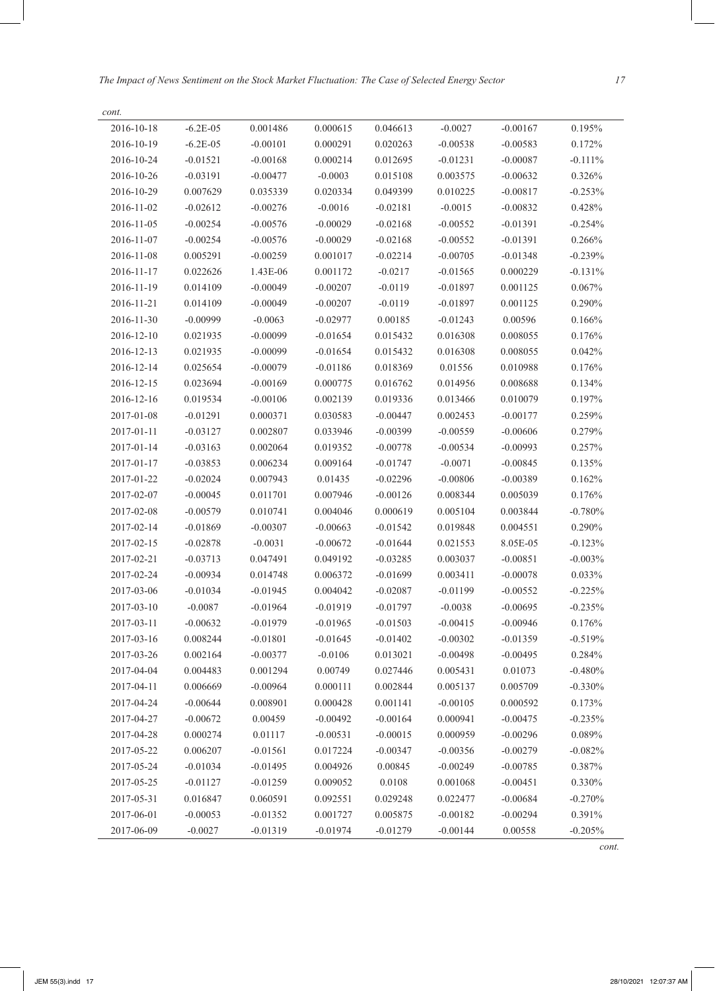*The Impact of News Sentiment on the Stock Market Fluctuation: The Case of Selected Energy Sector 17*

| cont.      |              |            |            |            |            |            |            |
|------------|--------------|------------|------------|------------|------------|------------|------------|
| 2016-10-18 | $-6.2E-05$   | 0.001486   | 0.000615   | 0.046613   | $-0.0027$  | $-0.00167$ | 0.195%     |
| 2016-10-19 | $-6.2E - 05$ | $-0.00101$ | 0.000291   | 0.020263   | $-0.00538$ | $-0.00583$ | 0.172%     |
| 2016-10-24 | $-0.01521$   | $-0.00168$ | 0.000214   | 0.012695   | $-0.01231$ | $-0.00087$ | $-0.111\%$ |
| 2016-10-26 | $-0.03191$   | $-0.00477$ | $-0.0003$  | 0.015108   | 0.003575   | $-0.00632$ | 0.326%     |
| 2016-10-29 | 0.007629     | 0.035339   | 0.020334   | 0.049399   | 0.010225   | $-0.00817$ | $-0.253%$  |
| 2016-11-02 | $-0.02612$   | $-0.00276$ | $-0.0016$  | $-0.02181$ | $-0.0015$  | $-0.00832$ | 0.428%     |
| 2016-11-05 | $-0.00254$   | $-0.00576$ | $-0.00029$ | $-0.02168$ | $-0.00552$ | $-0.01391$ | $-0.254%$  |
| 2016-11-07 | $-0.00254$   | $-0.00576$ | $-0.00029$ | $-0.02168$ | $-0.00552$ | $-0.01391$ | 0.266%     |
| 2016-11-08 | 0.005291     | $-0.00259$ | 0.001017   | $-0.02214$ | $-0.00705$ | $-0.01348$ | $-0.239%$  |
| 2016-11-17 | 0.022626     | 1.43E-06   | 0.001172   | $-0.0217$  | $-0.01565$ | 0.000229   | $-0.131%$  |
| 2016-11-19 | 0.014109     | $-0.00049$ | $-0.00207$ | $-0.0119$  | $-0.01897$ | 0.001125   | 0.067%     |
| 2016-11-21 | 0.014109     | $-0.00049$ | $-0.00207$ | $-0.0119$  | $-0.01897$ | 0.001125   | 0.290%     |
| 2016-11-30 | $-0.00999$   | $-0.0063$  | $-0.02977$ | 0.00185    | $-0.01243$ | 0.00596    | 0.166%     |
| 2016-12-10 | 0.021935     | $-0.00099$ | $-0.01654$ | 0.015432   | 0.016308   | 0.008055   | 0.176%     |
| 2016-12-13 | 0.021935     | $-0.00099$ | $-0.01654$ | 0.015432   | 0.016308   | 0.008055   | 0.042%     |
| 2016-12-14 | 0.025654     | $-0.00079$ | $-0.01186$ | 0.018369   | 0.01556    | 0.010988   | 0.176%     |
| 2016-12-15 | 0.023694     | $-0.00169$ | 0.000775   | 0.016762   | 0.014956   | 0.008688   | 0.134%     |
| 2016-12-16 | 0.019534     | $-0.00106$ | 0.002139   | 0.019336   | 0.013466   | 0.010079   | 0.197%     |
| 2017-01-08 | $-0.01291$   | 0.000371   | 0.030583   | $-0.00447$ | 0.002453   | $-0.00177$ | 0.259%     |
| 2017-01-11 | $-0.03127$   | 0.002807   | 0.033946   | $-0.00399$ | $-0.00559$ | $-0.00606$ | 0.279%     |
| 2017-01-14 | $-0.03163$   | 0.002064   | 0.019352   | $-0.00778$ | $-0.00534$ | $-0.00993$ | 0.257%     |
| 2017-01-17 | $-0.03853$   | 0.006234   | 0.009164   | $-0.01747$ | $-0.0071$  | $-0.00845$ | 0.135%     |
| 2017-01-22 | $-0.02024$   | 0.007943   | 0.01435    | $-0.02296$ | $-0.00806$ | $-0.00389$ | 0.162%     |
| 2017-02-07 | $-0.00045$   | 0.011701   | 0.007946   | $-0.00126$ | 0.008344   | 0.005039   | 0.176%     |
| 2017-02-08 | $-0.00579$   | 0.010741   | 0.004046   | 0.000619   | 0.005104   | 0.003844   | $-0.780%$  |
| 2017-02-14 | $-0.01869$   | $-0.00307$ | $-0.00663$ | $-0.01542$ | 0.019848   | 0.004551   | 0.290%     |
| 2017-02-15 | $-0.02878$   | $-0.0031$  | $-0.00672$ | $-0.01644$ | 0.021553   | 8.05E-05   | $-0.123%$  |
| 2017-02-21 | $-0.03713$   | 0.047491   | 0.049192   | $-0.03285$ | 0.003037   | $-0.00851$ | $-0.003%$  |
| 2017-02-24 | $-0.00934$   | 0.014748   | 0.006372   | $-0.01699$ | 0.003411   | $-0.00078$ | 0.033%     |
| 2017-03-06 | $-0.01034$   | $-0.01945$ | 0.004042   | $-0.02087$ | $-0.01199$ | $-0.00552$ | $-0.225%$  |
| 2017-03-10 | $-0.0087$    | $-0.01964$ | $-0.01919$ | $-0.01797$ | $-0.0038$  | $-0.00695$ | $-0.235%$  |
| 2017-03-11 | $-0.00632$   | $-0.01979$ | $-0.01965$ | $-0.01503$ | $-0.00415$ | $-0.00946$ | 0.176%     |
| 2017-03-16 | 0.008244     | $-0.01801$ | $-0.01645$ | $-0.01402$ | $-0.00302$ | $-0.01359$ | $-0.519%$  |
| 2017-03-26 | 0.002164     | $-0.00377$ | $-0.0106$  | 0.013021   | $-0.00498$ | $-0.00495$ | 0.284%     |
| 2017-04-04 | 0.004483     | 0.001294   | 0.00749    | 0.027446   | 0.005431   | 0.01073    | $-0.480%$  |
| 2017-04-11 | 0.006669     | $-0.00964$ | 0.000111   | 0.002844   | 0.005137   | 0.005709   | $-0.330%$  |
| 2017-04-24 | $-0.00644$   | 0.008901   | 0.000428   | 0.001141   | $-0.00105$ | 0.000592   | 0.173%     |
| 2017-04-27 | $-0.00672$   | 0.00459    | $-0.00492$ | $-0.00164$ | 0.000941   | $-0.00475$ | $-0.235%$  |
| 2017-04-28 | 0.000274     | 0.01117    | $-0.00531$ | $-0.00015$ | 0.000959   | $-0.00296$ | 0.089%     |
| 2017-05-22 | 0.006207     | $-0.01561$ | 0.017224   | $-0.00347$ | $-0.00356$ | $-0.00279$ | $-0.082%$  |
| 2017-05-24 | $-0.01034$   | $-0.01495$ | 0.004926   | 0.00845    | $-0.00249$ | $-0.00785$ | 0.387%     |
| 2017-05-25 | $-0.01127$   | $-0.01259$ | 0.009052   | 0.0108     | 0.001068   | $-0.00451$ | 0.330%     |
| 2017-05-31 | 0.016847     | 0.060591   | 0.092551   | 0.029248   | 0.022477   | $-0.00684$ | $-0.270%$  |
| 2017-06-01 | $-0.00053$   | $-0.01352$ | 0.001727   | 0.005875   | $-0.00182$ | $-0.00294$ | 0.391%     |
| 2017-06-09 | $-0.0027$    | $-0.01319$ | $-0.01974$ | $-0.01279$ | $-0.00144$ | 0.00558    | $-0.205%$  |
|            |              |            |            |            |            |            | cont.      |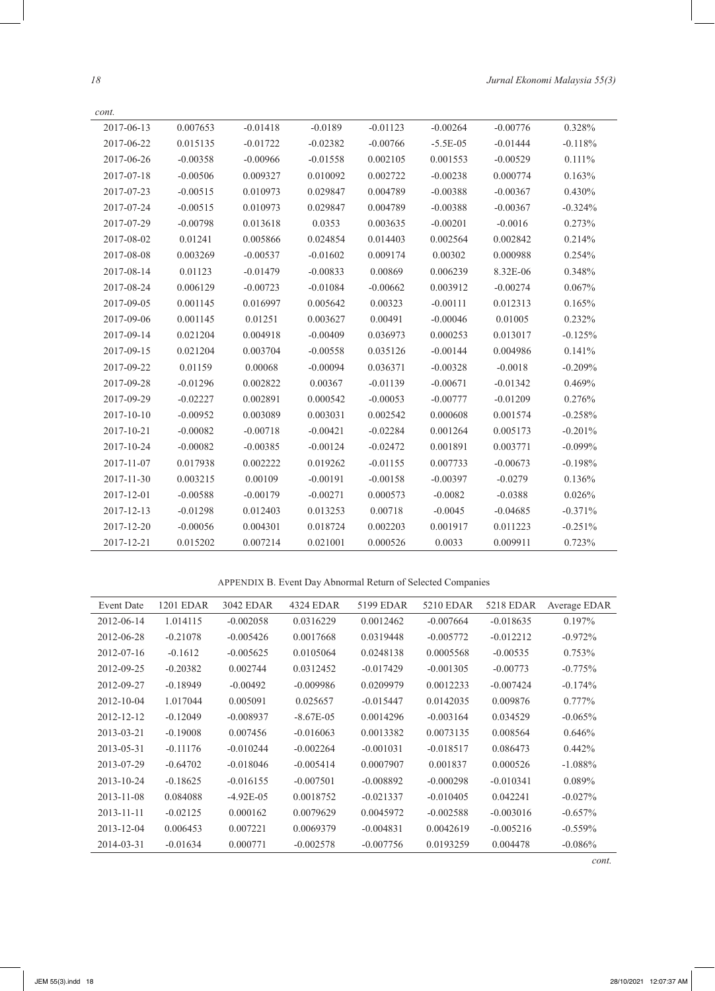| cont.      |            |            |            |            |            |            |           |
|------------|------------|------------|------------|------------|------------|------------|-----------|
| 2017-06-13 | 0.007653   | $-0.01418$ | $-0.0189$  | $-0.01123$ | $-0.00264$ | $-0.00776$ | 0.328%    |
| 2017-06-22 | 0.015135   | $-0.01722$ | $-0.02382$ | $-0.00766$ | $-5.5E-05$ | $-0.01444$ | $-0.118%$ |
| 2017-06-26 | $-0.00358$ | $-0.00966$ | $-0.01558$ | 0.002105   | 0.001553   | $-0.00529$ | $0.111\%$ |
| 2017-07-18 | $-0.00506$ | 0.009327   | 0.010092   | 0.002722   | $-0.00238$ | 0.000774   | 0.163%    |
| 2017-07-23 | $-0.00515$ | 0.010973   | 0.029847   | 0.004789   | $-0.00388$ | $-0.00367$ | 0.430%    |
| 2017-07-24 | $-0.00515$ | 0.010973   | 0.029847   | 0.004789   | $-0.00388$ | $-0.00367$ | $-0.324%$ |
| 2017-07-29 | $-0.00798$ | 0.013618   | 0.0353     | 0.003635   | $-0.00201$ | $-0.0016$  | 0.273%    |
| 2017-08-02 | 0.01241    | 0.005866   | 0.024854   | 0.014403   | 0.002564   | 0.002842   | 0.214%    |
| 2017-08-08 | 0.003269   | $-0.00537$ | $-0.01602$ | 0.009174   | 0.00302    | 0.000988   | 0.254%    |
| 2017-08-14 | 0.01123    | $-0.01479$ | $-0.00833$ | 0.00869    | 0.006239   | 8.32E-06   | 0.348%    |
| 2017-08-24 | 0.006129   | $-0.00723$ | $-0.01084$ | $-0.00662$ | 0.003912   | $-0.00274$ | 0.067%    |
| 2017-09-05 | 0.001145   | 0.016997   | 0.005642   | 0.00323    | $-0.00111$ | 0.012313   | 0.165%    |
| 2017-09-06 | 0.001145   | 0.01251    | 0.003627   | 0.00491    | $-0.00046$ | 0.01005    | 0.232%    |
| 2017-09-14 | 0.021204   | 0.004918   | $-0.00409$ | 0.036973   | 0.000253   | 0.013017   | $-0.125%$ |
| 2017-09-15 | 0.021204   | 0.003704   | $-0.00558$ | 0.035126   | $-0.00144$ | 0.004986   | 0.141%    |
| 2017-09-22 | 0.01159    | 0.00068    | $-0.00094$ | 0.036371   | $-0.00328$ | $-0.0018$  | $-0.209%$ |
| 2017-09-28 | $-0.01296$ | 0.002822   | 0.00367    | $-0.01139$ | $-0.00671$ | $-0.01342$ | 0.469%    |
| 2017-09-29 | $-0.02227$ | 0.002891   | 0.000542   | $-0.00053$ | $-0.00777$ | $-0.01209$ | 0.276%    |
| 2017-10-10 | $-0.00952$ | 0.003089   | 0.003031   | 0.002542   | 0.000608   | 0.001574   | $-0.258%$ |
| 2017-10-21 | $-0.00082$ | $-0.00718$ | $-0.00421$ | $-0.02284$ | 0.001264   | 0.005173   | $-0.201%$ |
| 2017-10-24 | $-0.00082$ | $-0.00385$ | $-0.00124$ | $-0.02472$ | 0.001891   | 0.003771   | $-0.099%$ |
| 2017-11-07 | 0.017938   | 0.002222   | 0.019262   | $-0.01155$ | 0.007733   | $-0.00673$ | $-0.198%$ |
| 2017-11-30 | 0.003215   | 0.00109    | $-0.00191$ | $-0.00158$ | $-0.00397$ | $-0.0279$  | 0.136%    |
| 2017-12-01 | $-0.00588$ | $-0.00179$ | $-0.00271$ | 0.000573   | $-0.0082$  | $-0.0388$  | 0.026%    |
| 2017-12-13 | $-0.01298$ | 0.012403   | 0.013253   | 0.00718    | $-0.0045$  | $-0.04685$ | $-0.371%$ |
| 2017-12-20 | $-0.00056$ | 0.004301   | 0.018724   | 0.002203   | 0.001917   | 0.011223   | $-0.251%$ |
| 2017-12-21 | 0.015202   | 0.007214   | 0.021001   | 0.000526   | 0.0033     | 0.009911   | 0.723%    |

APPENDIX B. Event Day Abnormal Return of Selected Companies

| <b>Event Date</b> | <b>1201 EDAR</b> | 3042 EDAR   | 4324 EDAR   | 5199 EDAR   | 5210 EDAR   | 5218 EDAR   | Average EDAR |
|-------------------|------------------|-------------|-------------|-------------|-------------|-------------|--------------|
| 2012-06-14        | 1.014115         | $-0.002058$ | 0.0316229   | 0.0012462   | $-0.007664$ | $-0.018635$ | $0.197\%$    |
| 2012-06-28        | $-0.21078$       | $-0.005426$ | 0.0017668   | 0.0319448   | $-0.005772$ | $-0.012212$ | $-0.972%$    |
| 2012-07-16        | $-0.1612$        | $-0.005625$ | 0.0105064   | 0.0248138   | 0.0005568   | $-0.00535$  | $0.753\%$    |
| 2012-09-25        | $-0.20382$       | 0.002744    | 0.0312452   | $-0.017429$ | $-0.001305$ | $-0.00773$  | $-0.775%$    |
| 2012-09-27        | $-0.18949$       | $-0.00492$  | $-0.009986$ | 0.0209979   | 0.0012233   | $-0.007424$ | $-0.174%$    |
| 2012-10-04        | 1.017044         | 0.005091    | 0.025657    | $-0.015447$ | 0.0142035   | 0.009876    | $0.777\%$    |
| 2012-12-12        | $-0.12049$       | $-0.008937$ | $-8.67E-05$ | 0.0014296   | $-0.003164$ | 0.034529    | $-0.065%$    |
| 2013-03-21        | $-0.19008$       | 0.007456    | $-0.016063$ | 0.0013382   | 0.0073135   | 0.008564    | 0.646%       |
| 2013-05-31        | $-0.11176$       | $-0.010244$ | $-0.002264$ | $-0.001031$ | $-0.018517$ | 0.086473    | $0.442\%$    |
| 2013-07-29        | $-0.64702$       | $-0.018046$ | $-0.005414$ | 0.0007907   | 0.001837    | 0.000526    | $-1.088%$    |
| $2013 - 10 - 24$  | $-0.18625$       | $-0.016155$ | $-0.007501$ | $-0.008892$ | $-0.000298$ | $-0.010341$ | $0.089\%$    |
| 2013-11-08        | 0.084088         | $-4.92E-05$ | 0.0018752   | $-0.021337$ | $-0.010405$ | 0.042241    | $-0.027\%$   |
| 2013-11-11        | $-0.02125$       | 0.000162    | 0.0079629   | 0.0045972   | $-0.002588$ | $-0.003016$ | $-0.657\%$   |
| $2013 - 12 - 04$  | 0.006453         | 0.007221    | 0.0069379   | $-0.004831$ | 0.0042619   | $-0.005216$ | $-0.559%$    |
| 2014-03-31        | $-0.01634$       | 0.000771    | $-0.002578$ | $-0.007756$ | 0.0193259   | 0.004478    | $-0.086%$    |

*cont.*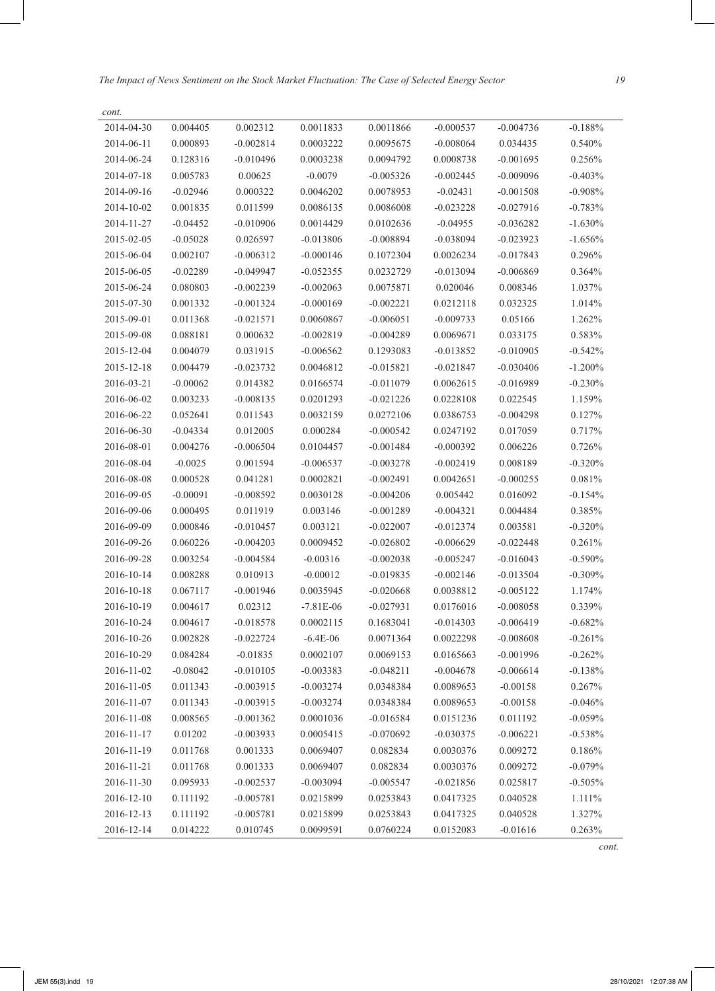*The Impact of News Sentiment on the Stock Market Fluctuation: The Case of Selected Energy Sector 19*

| cont.      |            |             |             |             |             |             |           |
|------------|------------|-------------|-------------|-------------|-------------|-------------|-----------|
| 2014-04-30 | 0.004405   | 0.002312    | 0.0011833   | 0.0011866   | $-0.000537$ | $-0.004736$ | $-0.188%$ |
| 2014-06-11 | 0.000893   | $-0.002814$ | 0.0003222   | 0.0095675   | $-0.008064$ | 0.034435    | 0.540%    |
| 2014-06-24 | 0.128316   | $-0.010496$ | 0.0003238   | 0.0094792   | 0.0008738   | $-0.001695$ | 0.256%    |
| 2014-07-18 | 0.005783   | 0.00625     | $-0.0079$   | $-0.005326$ | $-0.002445$ | $-0.009096$ | $-0.403%$ |
| 2014-09-16 | $-0.02946$ | 0.000322    | 0.0046202   | 0.0078953   | $-0.02431$  | $-0.001508$ | $-0.908%$ |
| 2014-10-02 | 0.001835   | 0.011599    | 0.0086135   | 0.0086008   | $-0.023228$ | $-0.027916$ | $-0.783%$ |
| 2014-11-27 | $-0.04452$ | $-0.010906$ | 0.0014429   | 0.0102636   | $-0.04955$  | $-0.036282$ | $-1.630%$ |
| 2015-02-05 | $-0.05028$ | 0.026597    | $-0.013806$ | $-0.008894$ | $-0.038094$ | $-0.023923$ | $-1.656%$ |
| 2015-06-04 | 0.002107   | $-0.006312$ | $-0.000146$ | 0.1072304   | 0.0026234   | $-0.017843$ | 0.296%    |
| 2015-06-05 | $-0.02289$ | $-0.049947$ | $-0.052355$ | 0.0232729   | $-0.013094$ | $-0.006869$ | 0.364%    |
| 2015-06-24 | 0.080803   | $-0.002239$ | $-0.002063$ | 0.0075871   | 0.020046    | 0.008346    | 1.037%    |
| 2015-07-30 | 0.001332   | $-0.001324$ | $-0.000169$ | $-0.002221$ | 0.0212118   | 0.032325    | 1.014%    |
| 2015-09-01 | 0.011368   | $-0.021571$ | 0.0060867   | $-0.006051$ | $-0.009733$ | 0.05166     | 1.262%    |
| 2015-09-08 | 0.088181   | 0.000632    | $-0.002819$ | $-0.004289$ | 0.0069671   | 0.033175    | 0.583%    |
| 2015-12-04 | 0.004079   | 0.031915    | $-0.006562$ | 0.1293083   | $-0.013852$ | $-0.010905$ | $-0.542%$ |
| 2015-12-18 | 0.004479   | $-0.023732$ | 0.0046812   | $-0.015821$ | $-0.021847$ | $-0.030406$ | $-1.200%$ |
| 2016-03-21 | $-0.00062$ | 0.014382    | 0.0166574   | $-0.011079$ | 0.0062615   | $-0.016989$ | $-0.230%$ |
| 2016-06-02 | 0.003233   | $-0.008135$ | 0.0201293   | $-0.021226$ | 0.0228108   | 0.022545    | 1.159%    |
| 2016-06-22 | 0.052641   | 0.011543    | 0.0032159   | 0.0272106   | 0.0386753   | $-0.004298$ | 0.127%    |
| 2016-06-30 | $-0.04334$ | 0.012005    | 0.000284    | $-0.000542$ | 0.0247192   | 0.017059    | 0.717%    |
| 2016-08-01 | 0.004276   | $-0.006504$ | 0.0104457   | $-0.001484$ | $-0.000392$ | 0.006226    | 0.726%    |
| 2016-08-04 | $-0.0025$  | 0.001594    | $-0.006537$ | $-0.003278$ | $-0.002419$ | 0.008189    | $-0.320%$ |
| 2016-08-08 | 0.000528   | 0.041281    | 0.0002821   | $-0.002491$ | 0.0042651   | $-0.000255$ | 0.081%    |
| 2016-09-05 | $-0.00091$ | $-0.008592$ | 0.0030128   | $-0.004206$ | 0.005442    | 0.016092    | $-0.154%$ |
| 2016-09-06 | 0.000495   | 0.011919    | 0.003146    | $-0.001289$ | $-0.004321$ | 0.004484    | 0.385%    |
| 2016-09-09 | 0.000846   | $-0.010457$ | 0.003121    | $-0.022007$ | $-0.012374$ | 0.003581    | $-0.320%$ |
| 2016-09-26 | 0.060226   | $-0.004203$ | 0.0009452   | $-0.026802$ | $-0.006629$ | $-0.022448$ | 0.261%    |
| 2016-09-28 | 0.003254   | $-0.004584$ | $-0.00316$  | $-0.002038$ | $-0.005247$ | $-0.016043$ | $-0.590%$ |
| 2016-10-14 | 0.008288   | 0.010913    | $-0.00012$  | $-0.019835$ | $-0.002146$ | $-0.013504$ | $-0.309%$ |
| 2016-10-18 | 0.067117   | $-0.001946$ | 0.0035945   | $-0.020668$ | 0.0038812   | $-0.005122$ | 1.174%    |
| 2016-10-19 | 0.004617   | 0.02312     | $-7.81E-06$ | $-0.027931$ | 0.0176016   | $-0.008058$ | 0.339%    |
| 2016-10-24 | 0.004617   | $-0.018578$ | 0.0002115   | 0.1683041   | $-0.014303$ | $-0.006419$ | $-0.682%$ |
| 2016-10-26 | 0.002828   | $-0.022724$ | $-6.4E-06$  | 0.0071364   | 0.0022298   | $-0.008608$ | $-0.261%$ |
| 2016-10-29 | 0.084284   | $-0.01835$  | 0.0002107   | 0.0069153   | 0.0165663   | $-0.001996$ | $-0.262%$ |
| 2016-11-02 | $-0.08042$ | $-0.010105$ | $-0.003383$ | $-0.048211$ | $-0.004678$ | $-0.006614$ | $-0.138%$ |
| 2016-11-05 | 0.011343   | $-0.003915$ | $-0.003274$ | 0.0348384   | 0.0089653   | $-0.00158$  | 0.267%    |
| 2016-11-07 | 0.011343   | $-0.003915$ | $-0.003274$ | 0.0348384   | 0.0089653   | $-0.00158$  | $-0.046%$ |
| 2016-11-08 | 0.008565   | $-0.001362$ | 0.0001036   | $-0.016584$ | 0.0151236   | 0.011192    | $-0.059%$ |
| 2016-11-17 | 0.01202    | $-0.003933$ | 0.0005415   | $-0.070692$ | $-0.030375$ | $-0.006221$ | $-0.538%$ |
| 2016-11-19 | 0.011768   | 0.001333    | 0.0069407   | 0.082834    | 0.0030376   | 0.009272    | 0.186%    |
| 2016-11-21 | 0.011768   | 0.001333    | 0.0069407   | 0.082834    | 0.0030376   | 0.009272    | $-0.079%$ |
| 2016-11-30 | 0.095933   | $-0.002537$ | $-0.003094$ | $-0.005547$ | $-0.021856$ | 0.025817    | $-0.505%$ |
| 2016-12-10 | 0.111192   | $-0.005781$ | 0.0215899   | 0.0253843   | 0.0417325   | 0.040528    | 1.111%    |
| 2016-12-13 | 0.111192   | $-0.005781$ | 0.0215899   | 0.0253843   | 0.0417325   | 0.040528    | 1.327%    |
| 2016-12-14 | 0.014222   | 0.010745    | 0.0099591   | 0.0760224   | 0.0152083   | $-0.01616$  | 0.263%    |
|            |            |             |             |             |             |             | cont.     |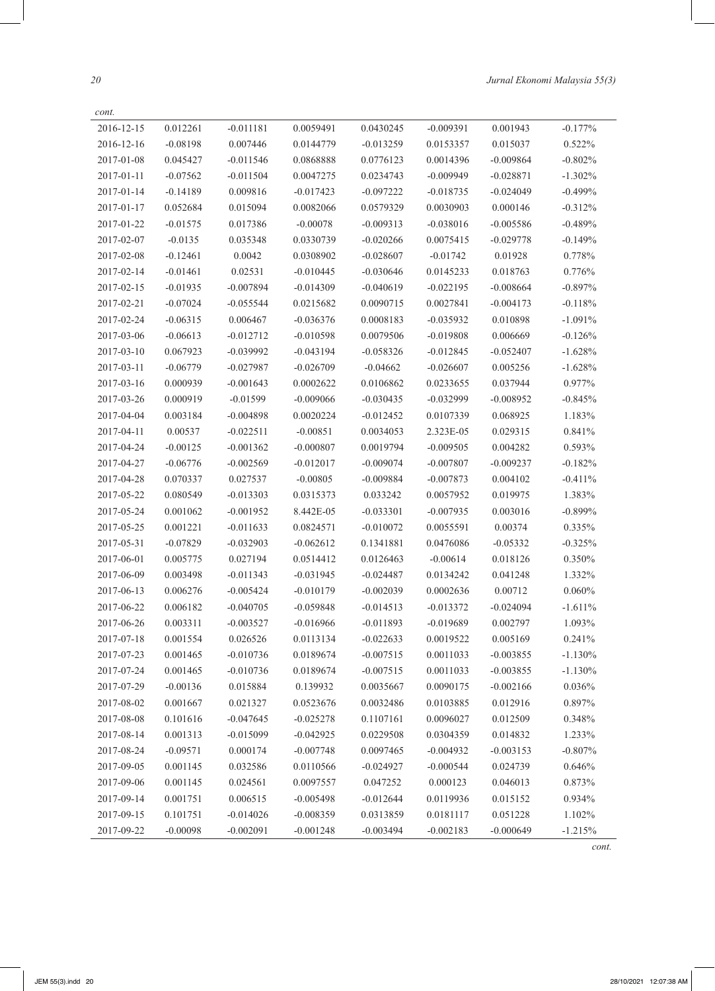*20 Jurnal Ekonomi Malaysia 55(3)*

| cont.      |            |             |             |             |             |             |            |
|------------|------------|-------------|-------------|-------------|-------------|-------------|------------|
| 2016-12-15 | 0.012261   | $-0.011181$ | 0.0059491   | 0.0430245   | $-0.009391$ | 0.001943    | $-0.177%$  |
| 2016-12-16 | $-0.08198$ | 0.007446    | 0.0144779   | $-0.013259$ | 0.0153357   | 0.015037    | 0.522%     |
| 2017-01-08 | 0.045427   | $-0.011546$ | 0.0868888   | 0.0776123   | 0.0014396   | $-0.009864$ | $-0.802%$  |
| 2017-01-11 | $-0.07562$ | $-0.011504$ | 0.0047275   | 0.0234743   | $-0.009949$ | $-0.028871$ | $-1.302\%$ |
| 2017-01-14 | $-0.14189$ | 0.009816    | $-0.017423$ | $-0.097222$ | $-0.018735$ | $-0.024049$ | $-0.499%$  |
| 2017-01-17 | 0.052684   | 0.015094    | 0.0082066   | 0.0579329   | 0.0030903   | 0.000146    | $-0.312%$  |
| 2017-01-22 | $-0.01575$ | 0.017386    | $-0.00078$  | $-0.009313$ | $-0.038016$ | $-0.005586$ | $-0.489%$  |
| 2017-02-07 | $-0.0135$  | 0.035348    | 0.0330739   | $-0.020266$ | 0.0075415   | $-0.029778$ | $-0.149%$  |
| 2017-02-08 | $-0.12461$ | 0.0042      | 0.0308902   | $-0.028607$ | $-0.01742$  | 0.01928     | 0.778%     |
| 2017-02-14 | $-0.01461$ | 0.02531     | $-0.010445$ | $-0.030646$ | 0.0145233   | 0.018763    | 0.776%     |
| 2017-02-15 | $-0.01935$ | $-0.007894$ | $-0.014309$ | $-0.040619$ | $-0.022195$ | $-0.008664$ | $-0.897%$  |
| 2017-02-21 | $-0.07024$ | $-0.055544$ | 0.0215682   | 0.0090715   | 0.0027841   | $-0.004173$ | $-0.118%$  |
| 2017-02-24 | $-0.06315$ | 0.006467    | $-0.036376$ | 0.0008183   | $-0.035932$ | 0.010898    | $-1.091%$  |
| 2017-03-06 | $-0.06613$ | $-0.012712$ | $-0.010598$ | 0.0079506   | $-0.019808$ | 0.006669    | $-0.126%$  |
| 2017-03-10 | 0.067923   | $-0.039992$ | $-0.043194$ | $-0.058326$ | $-0.012845$ | $-0.052407$ | $-1.628%$  |
| 2017-03-11 | $-0.06779$ | $-0.027987$ | $-0.026709$ | $-0.04662$  | $-0.026607$ | 0.005256    | $-1.628%$  |
| 2017-03-16 | 0.000939   | $-0.001643$ | 0.0002622   | 0.0106862   | 0.0233655   | 0.037944    | 0.977%     |
| 2017-03-26 | 0.000919   | $-0.01599$  | $-0.009066$ | $-0.030435$ | $-0.032999$ | $-0.008952$ | $-0.845%$  |
| 2017-04-04 | 0.003184   | $-0.004898$ | 0.0020224   | $-0.012452$ | 0.0107339   | 0.068925    | 1.183%     |
| 2017-04-11 | 0.00537    | $-0.022511$ | $-0.00851$  | 0.0034053   | 2.323E-05   | 0.029315    | 0.841%     |
| 2017-04-24 | $-0.00125$ | $-0.001362$ | $-0.000807$ | 0.0019794   | $-0.009505$ | 0.004282    | 0.593%     |
| 2017-04-27 | $-0.06776$ | $-0.002569$ | $-0.012017$ | $-0.009074$ | $-0.007807$ | $-0.009237$ | $-0.182%$  |
| 2017-04-28 | 0.070337   | 0.027537    | $-0.00805$  | $-0.009884$ | $-0.007873$ | 0.004102    | $-0.411%$  |
| 2017-05-22 | 0.080549   | $-0.013303$ | 0.0315373   | 0.033242    | 0.0057952   | 0.019975    | 1.383%     |
| 2017-05-24 | 0.001062   | $-0.001952$ | 8.442E-05   | $-0.033301$ | $-0.007935$ | 0.003016    | $-0.899\%$ |
| 2017-05-25 | 0.001221   | $-0.011633$ | 0.0824571   | $-0.010072$ | 0.0055591   | 0.00374     | 0.335%     |
| 2017-05-31 | $-0.07829$ | $-0.032903$ | $-0.062612$ | 0.1341881   | 0.0476086   | $-0.05332$  | $-0.325%$  |
| 2017-06-01 | 0.005775   | 0.027194    | 0.0514412   | 0.0126463   | $-0.00614$  | 0.018126    | 0.350%     |
| 2017-06-09 | 0.003498   | $-0.011343$ | $-0.031945$ | $-0.024487$ | 0.0134242   | 0.041248    | 1.332%     |
| 2017-06-13 | 0.006276   | $-0.005424$ | $-0.010179$ | $-0.002039$ | 0.0002636   | 0.00712     | 0.060%     |
| 2017-06-22 | 0.006182   | $-0.040705$ | $-0.059848$ | $-0.014513$ | $-0.013372$ | $-0.024094$ | $-1.611%$  |
| 2017-06-26 | 0.003311   | $-0.003527$ | $-0.016966$ | $-0.011893$ | $-0.019689$ | 0.002797    | 1.093%     |
| 2017-07-18 | 0.001554   | 0.026526    | 0.0113134   | $-0.022633$ | 0.0019522   | 0.005169    | 0.241%     |
| 2017-07-23 | 0.001465   | $-0.010736$ | 0.0189674   | $-0.007515$ | 0.0011033   | $-0.003855$ | $-1.130%$  |
| 2017-07-24 | 0.001465   | $-0.010736$ | 0.0189674   | $-0.007515$ | 0.0011033   | $-0.003855$ | $-1.130%$  |
| 2017-07-29 | $-0.00136$ | 0.015884    | 0.139932    | 0.0035667   | 0.0090175   | $-0.002166$ | 0.036%     |
| 2017-08-02 | 0.001667   | 0.021327    | 0.0523676   | 0.0032486   | 0.0103885   | 0.012916    | 0.897%     |
| 2017-08-08 | 0.101616   | $-0.047645$ | $-0.025278$ | 0.1107161   | 0.0096027   | 0.012509    | 0.348%     |
| 2017-08-14 | 0.001313   | $-0.015099$ | $-0.042925$ | 0.0229508   | 0.0304359   | 0.014832    | 1.233%     |
| 2017-08-24 | $-0.09571$ | 0.000174    | $-0.007748$ | 0.0097465   | $-0.004932$ | $-0.003153$ | $-0.807%$  |
| 2017-09-05 | 0.001145   | 0.032586    | 0.0110566   | $-0.024927$ | $-0.000544$ | 0.024739    | 0.646%     |
| 2017-09-06 | 0.001145   | 0.024561    | 0.0097557   | 0.047252    | 0.000123    | 0.046013    | 0.873%     |
| 2017-09-14 | 0.001751   | 0.006515    | $-0.005498$ | $-0.012644$ | 0.0119936   | 0.015152    | 0.934%     |
| 2017-09-15 | 0.101751   | $-0.014026$ | $-0.008359$ | 0.0313859   | 0.0181117   | 0.051228    | 1.102%     |
| 2017-09-22 | $-0.00098$ | $-0.002091$ | $-0.001248$ | $-0.003494$ | $-0.002183$ | $-0.000649$ | $-1.215%$  |

*cont.*